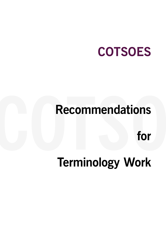# **COTSOES**

# **Recommendations**<br>for<br>Terminology Work **Recommendations**

**for** 

# **Terminology Work**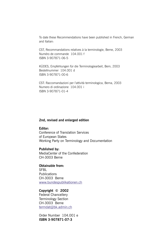To date these Recommendations have been published in French, German and Italian:

CST, Recommandations relatives à la terminologie, Berne, 2003 Numéro de commande 104.001 f ISBN 3-907871-06-5

KÜDES, Empfehlungen für die Terminologiearbeit, Bern, 2003 Bestellnummer 104.001 d ISBN 3-907871-00-6

CST: Raccomandazioni per l'attività terminologica, Berna, 2003 Numero di ordinazione 104.001 i ISBN 3-907871-01-4

#### **2nd, revised and enlarged edition**

#### **Editor:**

Conference of Translation Services of European States Working Party on Terminology and Documentation

#### **Published by:**

MediaCenter of the Confederation CH-3003 Berne

**Obtainable from:** SFBL Publications CH-3003 Berne www.bundespublikationen.ch

#### **Copyright © 2002**

Federal Chancellery Terminology Section CH-3003 Berne termdat@bk.admin.ch

Order Number 104.001 e **ISBN 3-907871-07-3**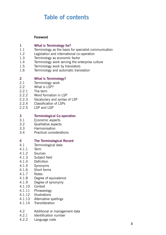# **Table of contents**

#### **Foreword**

# **1 What is Terminology for?**<br>**1 1** Terminology as the basis 1

- Terminology as the basis for specialist communication
- 1.2 Legislation and international co-operation
- 1.3 Terminology as economic factor
- 1.4 Terminology work serving the enterprise culture
- 1.5 Terminology work by translators
- 1.6 Terminology and automatic translation

#### **2 What is Terminology?**

- 2.1 Terminology work
- 2.2 What is LSP?
- 2.2.1 The term
- 2.2.2 Word formation in LSP
- 2.2.3 Vocabulary and syntax of LSP
- 2.2.4 Classification of LSPs
- 2.2.5 LSP and LGP

#### **3 Terminological Co-operation**

- 3.1 Economic aspects
- 3.2 Qualitative aspects
- 3.3 Harmonisation
- 3.4 Practical considerations

#### **4 The Terminological Record**

- 4.1 Terminological data
- 4.1.1 Term
- 4.1.2 Sources
- 4.1.3 Subject field
- 4.1.4 Definition
- 4.1.5 Synonyms
- 4.1.6 Short forms
- 4.1.7 Notes
- 4.1.8 Degree of equivalence
- 4.1.9 Degree of synonymy
- 4.1.10 Context
- 4.1.11 Phraseology
- 4.1.12 Illustrations
- 4.1.13 Alternative spellings
- 4.1.14 Transliteration
- 4.2 Additional or management data
- 4.2.1 Identification number
- 4.2.2 Language code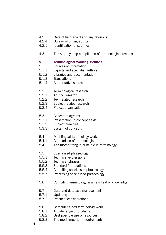- 4.2.3 Date of first record and any revisions<br>4.2.4 Bureau of origin, author
- 4.2.4 Bureau of origin, author<br>4.2.5 Identification of sub-files
- Identification of sub-files
- 4.3 The step-by-step compilation of terminological records

#### **5 Terminological Working Methods**

- 5.1 Sources of information
- 5.1.1 Experts and specialist authors
- 5.1.2 Libraries and documentation
- 5.1.3 Translations
- 5.1.4 Authoritative sources
- 5.2 Terminological research
- 5.2.1 Ad hoc research
- 5.2.2 Text-related research
- 5.2.3 Subject-related research
- 5.2.4 Project organisation
- 5.3 Concept diagrams
- 5.3.1 Presentation in concept fields
- 5.3.2 Subject area tree
- 5.3.3 System of concepts
- 5.4 Multilingual terminology work
- 5.4.1 Comparison of terminologies
- 5.4.2 The mother-tongue principle in terminology
- 5.5 Specialised phraseology
- 5.5.1 Technical expressions
- 5.5.2 Technical phrases
- 5.5.3 Standard formulations
- 5.5.4 Compiling specialised phraseology
- 5.5.5 Processing specialised phraseology
- 5.6 Compiling terminology in a new field of knowledge
- 5.7 Data and database management
- 5.7.1 Updating
- 5.7.2 Practical considerations
- 5.8 Computer aided terminology work
- 5.8.1 A wide range of products
- 5.8.2 Best possible use of resources
- 5.8.3 The most important requirements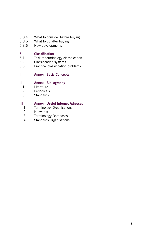- 5.8.4 What to consider before buying<br>5.8.5 What to do after buying
- 5.8.5 What to do after buying<br>5.8.6 New developments
- New developments

# **6 Classification**<br>**6.1** Task of termin

- Task of terminology classification
- 6.2 Classification systems
- 6.3 Practical classification problems

#### **I Annex: Basic Concepts**

#### **II Annex: Bibliography**

- II.1 Literature
- II.2 Periodicals
- II.3 Standards

#### **III Annex: Useful Internet Adresses**

- III.1 Terminology Organisations
- III.2 Networks
- III.3 Terminology Databases
- III.4 Standards Organisations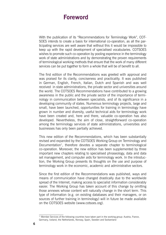### **Foreword**

With the publication of its "Recommendations for Terminology Work", COT-SOES intends to create a basis for international co-operation, as all the participating services are well aware that without this it would be impossible to keep up with the rapid development of specialised vocabularies. COTSOES wishes to promote such co-operation by pooling experience in the terminology work of state administrations and by demonstrating the proven requirements of terminological working methods that ensure that the work of many different services can be put together to form a whole that will be of benefit to all.

The first edition of the Recommendations was greeted with approval and was praised for its clarity, conciseness and practicality. It was published in German, English, French, Italian, Dutch and Spanish and was well received in state administrations, the private sector and universities around the world. The COTSOES Recommendations have contributed to a growing awareness in the public and the private sector of the importance of terminology in communication between specialists, and of its significance in a developing community of states. Numerous terminology projects, large and small, have been launched, opportunities for training in terminology have grown in number and diversity, useful technical aids for terminology work have been created and, here and there, valuable co-operation has also developed. Nevertheless, the aim of close, straightforward co-operation among the terminology services of state administrations, universities and businesses has only been partially achieved.

This new edition of the Recommendations, which has been substantially revised and expanded by the COTSOES Working Group on Terminology and Documentation<sup>1</sup>, therefore devotes a separate chapter to terminological co-operation. Moreover, the new edition has been supplemented by three important new chapters relating to specialised phraseology, data and data set management, and computer aids for terminology work. In the introduction, the Working Group presents its thoughts on the use and purpose of terminology work in the economic, academic and administrative sectors.

Since the first edition of the Recommendations was published, ways and means of communication have changed drastically due to the worldwide spread of the Internet, making access to specialist information considerably easier. The Working Group has taken account of this change by omitting those annexes whose content will naturally change in the short term. This type of information (e.g. on existing databases and their managers, or on sources of further training in terminology) will in future be made available on the COTSOES website (www.cotsoes.org).

<sup>&</sup>lt;sup>1)</sup> Member Services of the following countries have taken part in the working group: Austria, France, Germany, Iceland, the Netherlands, Norway, Spain, Sweden and Switzerland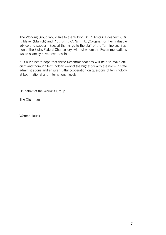The Working Group would like to thank Prof. Dr. R. Arntz (Hildesheim), Dr. F. Mayer (Munich) and Prof. Dr. K.-D. Schmitz (Cologne) for their valuable advice and support. Special thanks go to the staff of the Terminology Section of the Swiss Federal Chancellery, without whom the Recommendations would scarcely have been possible.

It is our sincere hope that these Recommendations will help to make efficient and thorough terminology work of the highest quality the norm in state administrations and ensure fruitful cooperation on questions of terminology at both national and international levels.

On behalf of the Working Group:

The Chairman

Werner Hauck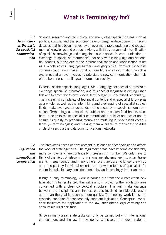## **What is Terminology for?**

*1.1 Terminology as the basis for specialist communication*

*1*

Science, research and technology, and many other specialist areas such as politics, culture, and the economy have undergone development in recent decades that has been marked by an ever more rapid updating and replacement of knowledge and products. Along with this go a general diversification of specialist knowledge and a large increase in specialist communication (= exchange of specialist information), not only within language and national boundaries, but also due to the internationalisation and globalisation of life as a whole across language barriers and geopolitical frontiers. Specialist communication now makes up about four fifths of all information, which is exchanged at an ever increasing rate via the new communication channels of the borderless, multilingual information society.

Experts use their special language (LSP  $=$  language for special purposes) to exchange specialist information, and this special language is distinguished first and foremost by its own special terminology  $(=$  specialised vocabulary). The increasing complexity of technical content and of specialist knowledge as a whole, as well as the interlinking and overlapping of specialist subject fields, make ever greater demands on the accuracy of specialist communication. Terminology as a specialist subject and research field has its place here: it helps to make specialist communication quicker and easier and to ensure its quality by preparing mono- and multilingual specialised vocabularies (= terminologies) and making them available to the widest possible circle of users via the data communications networks.

*1.2 Legislation and international co-operation*

The breakneck speed of development in science and technology also affects the work of state agencies. The regulatory areas have become considerably more complex and are continually increasing in number. We only have to think of the fields of telecommunications, genetic engineering, organ transplants, merger control and many others. Draft laws are no longer drawn up as in the past by individual experts, but by whole teams of specialists for whom interdisciplinary considerations play an increasingly important role.

If high quality terminology work is carried out from the outset when new legislation is being drafted, this will assist in providing the regulatory area concerned with a clear conceptual structure. This will make dialogue between the disciplines and interest groups involved considerably easier and mean the goal is reached more quickly. Terminology work is also an essential condition for conceptually coherent legislation. Conceptual coherence facilitates the application of the law, strengthens legal certainty and encourages legal certitude.

Since in many areas state tasks can only be carried out with international co-operation, and the law is developing extensively in different states at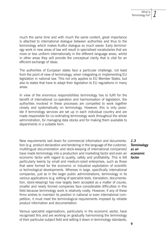much the same time and with much the same content, great importance is attached to international dialogue between authorities and thus to the terminology which makes fruitful dialogue so much easier. Early terminology work in new areas of law will result in specialised vocabularies that are more or less uniform internationally in the different language areas, whilst in other areas they will provide the conceptual clarity that is vital for an efficient exchange of ideas.

The authorities of European states face a particular challenge, not least from the point of view of terminology, when integrating or implementing EU legislation in national law. This not only applies to EU Member States, but also to states that have to adapt their legislation to EU regulations in many areas.

In view of the enormous responsibilities terminology has to fulfil for the benefit of international co-operation and harmonisation of legislation, the authorities involved in these processes are compelled to work together closely and systematically on terminology. However, this is only possible if terminology services are set up in each individual country and are made responsible for co-ordinating terminology work throughout the whole administration, for managing data stocks and for making them available to departments in a suitable form.

New requirements laid down for commercial information and documentation (e.g. product declaration and tendering in the language of the customer, multilingual documentation and stock-keeping of international companies) have made terminology into a production and marketing factor and even an economic factor with regard to quality, safety and profitability. This is felt particularly keenly by small and medium-sized enterprises, such as those that were formed for the economic or industrial exploitation of scientific or technological developments. Whereas in large, specifically international companies, just as in the larger public administrations, terminology in its various applications (e.g. editing of specialist texts, translation, documentation, stock-keeping) has now largely been accepted as a matter of course, smaller and newly formed companies face considerable difficulties in this field because terminology work is relatively costly. However, if any of these firms wishes to maintain its position in national or even international competition, it must meet the terminological requirements imposed by reliable product information and documentation.

Various specialist organisations, particularly in the economic sector, have recognised this and are working on gradually harmonising the terminology of their particular subject field and setting it down in terminology standards,

*1.3 Terminology as an economic factor*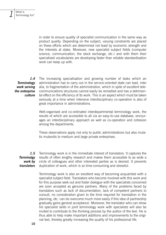in order to ensure quality of specialist communication in the same way as product quality. Depending on the subject, varying constraints are placed on these efforts which are determined not least by economic strength and the interests at stake. Moreover, new specialist subject fields (computer science, communication, the stock exchange, etc.) and with them their specialised vocabularies are developing faster than reliable standardisation work can keep up with.

*1.4 Terminology work serving the enterprise culture*

The increasing specialisation and growing number of tasks which an administration has to carry out in the service-oriented state can lead, inter alia, to fragmentation of the administration, which in spite of excellent telecommunications structures cannot easily be remedied and has a detrimental effect on the efficiency of its work. This is an aspect which must be taken seriously at a time when intensive interdisciplinary co-operation is also of great importance in administrations.

Well-organised and co-ordinated interdepartmental terminology work, the results of which are accessible to all via an easy-to-use database, encourages an interdisciplinary approach as well as co-operation and cohesion among the departments.

These observations apply not only to public administrations but also mutatis mutandis to medium and large private enterprises.

*1.5 Terminolgy work by translators* Terminology work is in the immediate interest of translators. It captures the results of often lengthy research and makes them accessible to as wide a circle of colleagues and other interested parties as is desired. It prevents duplication of work, which is so time-consuming and stressful.

> Terminology work is also an excellent way of becoming acquainted with a specialist subject field. Translators who become involved with this work and for this purpose seek out and foster dialogue with the specialists concerned are soon accepted as genuine partners. Many of the problems faced by translators such as lack of documentation, lack of competent partners to consult, no consideration given to the time required for translation in the planning, etc. can be overcome much more easily if this idea of partnership gradually gains general acceptance. Moreover, the translator who can show his specialist skills in joint terminology work with specialists will also be invited to contribute to the thinking process by the author of the text. He is thus able to help make important additions and improvements to the original text, thereby greatly increasing the quality of his professional life.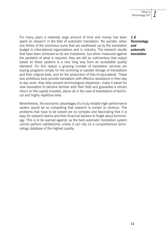For many years a relatively large amount of time and money has been spent on research in the field of automatic translation. No wonder, when one thinks of the enormous sums that are swallowed up by the translation budget in international organisations and in industry. The research results that have been achieved so far are impressive, but when measured against the yardstick of what is required, they are still so rudimentary that output based on these systems is a very long way from an acceptable quality standard. For this reason a growing number of translation services are buying programs simply for the archiving or parallel storage of translations and their original texts, and for the production of lists of equivalents. These less ambitious tools provide translators with effective assistance in their day to day work: they help prevent terminological dispersion, make it easier for new translators to become familiar with their field and guarantee a certain return on the capital invested, above all in the case of translations of technical and highly repetitive texts.

Nevertheless, the economic advantages of a truly reliable high-performance system would be so compelling that research is certain to contnue. The problems that have to be solved are so complex and fascinating that it is easy for research teams and their financial backers to forget about terminology. This is to be warned against, as the best automatic translation system cannot perform satisfactorily unless it can rely on a comprehensive terminology database of the highest quality.

*1.6 Terminology and automatic translation*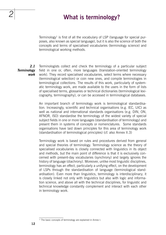# *2* **What is terminology?**

Terminology<sup>1</sup> is first of all the vocabulary of LSP (language for special purposes, also known as special language), but it is also the science of both the concepts and terms of specialised vocabularies (terminology science) and terminological working methods.

*2.1 Terminology work* Terminologists collect and check the terminology of a particular subject field in one or, often, more languages (translation-oriented terminology work). They record specialised vocabularies, select terms where necessary (terminological selection) or coin new ones, and compile terminologies in terminological collections. The results of this work, particularly of systematic terminology work, are made available to the users in the form of lists of specialised terms, glossaries or technical dictionaries (terminological lexicography, terminography), or can be accessed in terminological databases.

> An important branch of terminology work is terminological standardisation. Increasingly, scientific and technical organisations (e.g. IEC, UIC) as well as national and international standards organisations (e.g. DIN, ON, AFNOR, ISO) standardise the terminology of the widest variety of special subject fields in one or more languages (standardisation of terminology) and present them in systems of concepts or nomenclatures. Some standards organisations have laid down principles for this area of terminology work (standardisation of terminological principles) (cf. also Annex II.3)

> Terminology work is based on rules and procedures derived from general and special theories of terminology. Terminology science as the theory of specialised vocabularies is closely connected with linguistics in its object and methods, but the main point of difference is that it is exclusively concerned with present-day vocabularies (synchrony) and largely ignores the history of language (diachrony). Moreover, unlike most linguistic disciplines, terminology has an effect, particularly a unifying effect, on the development of LSPs through the standardisation of language (terminological standardisation). Even more than linguistics, terminology is interdisciplinary; it is closely linked not only with linguistics but also with logic and information science, and above all with the technical disciplines, for linguistic and technical knowledge constantly complement and interact with each other in terminology work.

<sup>&</sup>lt;sup>1)</sup> The basic concepts of terminology are explained in Annex I.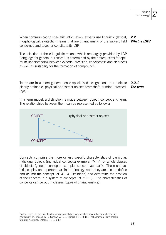*2*

*2.2 What is LSP?* When communicating specialist information, experts use linguistic (lexical, morphological, syntactic) means that are characteristic of the subject field concerned and together constitute its LSP.

The selection of these linguistic means, which are largely provided by LGP (language for general purposes), is determined by the prerequisites for optimum understanding between experts: precision, conciseness and clearness as well as suitability for the formation of compounds.

*2.2.1 The term* Terms are in a more general sense specialised designations that indicate clearly definable, physical or abstract objects (camshaft, criminal proceedings)<sup>2</sup>.

In a term model, a distinction is made between object, concept and term. The relationships between them can be represented as follows:



Concepts comprise the more or less specific characteristics of particular, individual objects (individual concepts; example: "Mini") or whole classes of objects (general concepts; example "subcompact car"). These characteristics play an important part in terminology work; they are used to define and delimit the concept (cf. 4.1.4: Definition) and determine the position of the concept in a system of concepts (cf. 5.3.3). The characteristics of concepts can be put in classes (types of characteristics):

<sup>2)</sup> After Filipec, J.: Zur Spezifik des spezialsprachlichen Wortschatzes gegenüber dem allgemeinen Wortschatz. In: Bausch, K.H., Schewe W.H.U., Spiegel, H.-R. (Eds.): Fachsprachen. Terminologie, Struktur, Normung. Cologne 1976, p. 55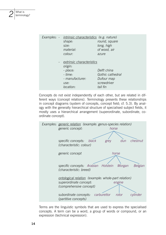|  | Examples: - <i>intrinsic characteristics</i> (e.g. nature)<br>shape:<br>size:<br>material:<br>colour:  | round, square<br>long, high<br>of wood, air<br>azure                     |
|--|--------------------------------------------------------------------------------------------------------|--------------------------------------------------------------------------|
|  | - extrinsic characteristics<br>origin:<br>- place:<br>$-time:$<br>- manufacturer:<br>use:<br>location: | Delft china<br>Gothic cathedral<br>Dufour map<br>screwdriver<br>tail fin |

Concepts do not exist independently of each other, but are related in different ways (concept relations). Terminology presents these relationships in concept diagrams (system of concepts, concept field; cf. 5.3). By analogy with the generally hierarchical structure of specialised subject fields, it mostly uses a hierarchical arrangement (superordinate, subordinate, coordinate concept).



Terms are the linguistic symbols that are used to express the specialised concepts. A term can be a word, a group of words or compound, or an expression (technical expression).

*2*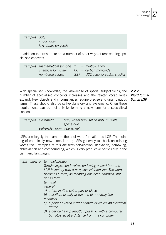*2*

*Examples: duty import duty levy duties on goods*

In addition to terms, there are a number of other ways of representing specialised concepts:

| Examples: mathematical symbols: $x =$ multiplication |  |                                     |
|------------------------------------------------------|--|-------------------------------------|
| chemical formulae:                                   |  | $CO = carbon monoxide$              |
| numbered codes:                                      |  | $337 = UDC$ code for customs policy |

With specialised knowledge, the knowledge of special subject fields, the number of specialised concepts increases and the related vocabularies expand. New objects and circumstances require precise and unambiguous terms. These should also be self-explanatory and systematic. Often these requirements can be met only by forming a new term for a specialised concept.

*2.2.2 Word formation in LSP*

*Examples: systematic: hub, wheel hub, spline hub, multiple spline hub self-explanatory: gear wheel*

LSPs use largely the same methods of word formation as LGP. The coining of completely new terms is rare; LSPs generally fall back on existing words too. Examples of this are terminologisation, derivation, borrowing, abbreviation and compounding, which is very productive particularly in the Germanic languages.

| Examples: a. terminologisation<br>Terminologisation involves endowing a word from the<br>LGP inventory with a new, special intension. The word<br>becomes a term; its meaning has been changed, but |
|-----------------------------------------------------------------------------------------------------------------------------------------------------------------------------------------------------|
| not its form.<br>terminal                                                                                                                                                                           |
| general:                                                                                                                                                                                            |
| a) a terminating point, part or place<br>b) a station, usually at the end of a railway line                                                                                                         |
| technical:                                                                                                                                                                                          |
| c) a point at which current enters or leaves an electrical<br>device                                                                                                                                |
| d) a device having input/output links with a computer<br>but situated at a distance from the computer                                                                                               |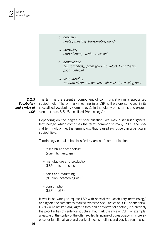| b. derivation<br>heater, meeting, transferable, handy                               |
|-------------------------------------------------------------------------------------|
| c. borrowing<br>ombudsman, crèche, rucksack                                         |
| d. abbreviation<br>bus (omnibus), pram (perambulator), HGV (heavy<br>goods vehicle) |
| e. compounding<br>vacuum cleaner, motorway, air-cooled, revolving door              |

*2.2.3 Vocabulary and syntax of LSP* The term is the essential component of communication in a specialised subject field. The primary meaning in a LSP is therefore conveyed in its specialised vocabulary (terminology), in the totality of its terms and expressions (cf. also 5.5: "Specialised Phraseology").

> Depending on the degree of specialisation, we may distinguish general terminology, which comprises the terms common to many LSPs, and special terminology, i.e. the terminology that is used exclusively in a particular subject field.

Terminology can also be classified by areas of communication:

- research and technology (scientific language)
- manufacture and production (LSP in its true sense)
- sales and marketing (dilution, coarsening of LSP)
- consumption (LSP in LGP)

It would be wrong to equate LSP with specialised vocabulary (terminology) and ignore the sometimes marked syntactic peculiarities of LSP. For one thing, LSPs would not be "languages" if they had no syntax; for another, it is precisely the peculiarities of sentence structure that mark the style of LSP. For example, a feature of the syntax of the often reviled language of bureaucracy is its preference for functional verb and participial constructions and passive sentences.

*2*

What is terminology?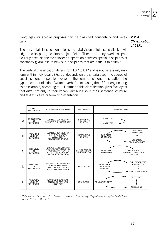*2*

Languages for special purposes can be classified horizontally and vertically.

The horizontal classification reflects the subdivision of total specialist knowledge into its parts, i.e. into subject fields. There are many overlaps, particularly because the ever closer co-operation between special disciplines is constantly giving rise to new sub-disciplines that are difficult to delimit.

The vertical classification differs from LSP to LSP and is not necessarily uniform within individual LSPs, but depends on the criteria used: the degree of specialisation, the people involved in the communication, the situation, the type of communication (written, verbal), etc. Using the LSP of engineering as an example, according to L. Hoffmann this classification gives five layers that differ not only in their vocabulary but also in their sentence structure and text structure or form of presentation.

|   | LEVEL OF<br><b>ABSTRACTION</b>                            | <b>EXTERNAL LINGUISTIC FORM</b>                                                                               | FIELD OF USE                             | <b>COMMUNICATORS</b>                                                                                                       |  |
|---|-----------------------------------------------------------|---------------------------------------------------------------------------------------------------------------|------------------------------------------|----------------------------------------------------------------------------------------------------------------------------|--|
| A | HIGHEST LEVEL<br>OF<br><b>ABSTRACTION</b>                 | ARTIFICIAL SYMBOLS FOR<br>ELEMENTS AND RELATIONSHIP                                                           | THEORETICAL<br><b>SCIENCE</b>            | <b>SCIENTISTS</b><br><b>SCIENTISTS</b>                                                                                     |  |
| B | <b>VERY HIGH</b><br>LEVEL OF<br><b>ABSTRACTION</b>        | ARTIFICIAL SYMBOLS FOR<br>ELEMENTS, NATURAL<br><b>LANGUAGE FOR</b><br>RELATIONSHIP (SYNTAX)                   | <b>EXPERIMENTAL</b><br><b>SCIENCE</b>    | <b>SCIENTISTS</b><br>(ENGINEERS)<br><b>SCIENTISTS</b><br>(ENGINEERS)<br><b>SCIENTIFIC &amp;</b><br><b>TFCH. ASSISTANTS</b> |  |
| C | <b>HIGH LEVEL</b><br>OF<br><b>ABSTRACTION</b>             | NATURAL LANGUAGE WITH A<br><b>VERY HIGH PROPORTION OF</b><br>SPEC. TERMINOLOGY AND<br>RIGIDI Y DEFINED SYNTAX | <b>APPLIED SCIENCE</b><br>AND TECHNOLOGY | <b>SCIENTISTS</b><br><b>SCIENTIFIC &amp;</b><br>(ENGINEERS)<br>TECHNICAL PRODUCTION<br><b>MANAGERS</b>                     |  |
| D | LOW LEVEL<br>OF<br><b>ABSTRACTION</b>                     | NATURAL LANGUAGE WITH A<br><b>HIGH PROPORTION OF</b><br>SPEC. TERMINOLOGY & A<br>RELATIVELY FREE SYNTAX       | <b>PRODUCTION</b>                        | <b>SKILLED WORKERS</b><br>(EMPLOYEES)<br><b>SCIENTIFIC &amp;</b><br>TECH. PROD.<br><b>MANAGERS</b><br>MASTER CRAFTSMEN     |  |
| E | <b>VERLY LOW</b><br><b>LEVEL OF</b><br><b>ABSTRACTION</b> | NATURAL LANGUAGE WITH<br>SOME SPEC. TERMS AND<br><b>FREE SYNTAX</b>                                           | <b>CONSUMPTION</b>                       | <b>SALES STAFF</b><br>PRODUCTION STAFF<br><b>CONSUMERS</b>                                                                 |  |

*L. Hoffmann in: Hahn, W.v. (Ed.): Fachkommunikation: Entwicklung - Linguistische Konzepte - Betriebliche Beispiele. Berlin, 1983, p.75*

#### *2.2.4 Classification of LSPs*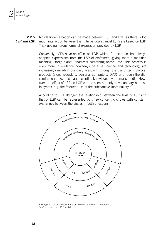

Conversely. LSPs have an effect on LGP, which, for example, has always adopted expressions from the LSP of craftsmen, giving them a modified meaning: "forge plans", "hammer something home", etc. This process is even more in evidence nowadays because science and technology are increasingly invading our daily lives, e.g. through the use of technological products (video recorders, personal computers, DVD) or through the dissemination of technical and scientific knowledge by the mass media. However, the effect of LSP on LGP can be seen not only in vocabulary but also in syntax, e.g. the frequent use of the substantive (nominal style).

According to K. Baldinger, the relationship between the lexis of LSP and that of LGP can be represented by three concentric circles with constant exchanges between the circles in both directions.



Baldinger K.: Über die Gestaltung des wissenschaftlichen Wörterbuchs. In: Rom. Jahrb. V. 1952. p. 90

What is terminology?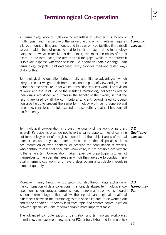## **Terminological Co-operation** *3*

All terminology work of high quality, regardless of whether it is mono- or multilingual, and irrespective of the subject field to which it relates, requires a large amount of time and money, and this can only be justified if the result serves a wide circle of users. Added to this is the fact that no terminology database, however extensive its data stock, can meet the needs of all its users. In the latter case, the aim is to fill the gaps, while in the former it is to avoid expense wherever possible. Co-operation (data exchange, joint terminology projects, joint databases, etc.) provides tried and tested ways of doing this.

Terminological co-operation brings firstly quantitative advantages, which carry particular weight, both from an economic point of view and given the notorious time pressure under which translation services work. The division of work and the joint use of the resulting terminology collections reduce individuals' workloads and increase the benefit of their work, in that the results are used by all the contributors. Efficient, co-ordinated co-operation also helps to prevent the same terminology work being done several times, i.e. senseless multiple expenditure, something that still happens all too frequently.

Terminological co-operation improves the quality of the work of partners as well. Participants often do not have the same opportunities of carrying out terminology work of a high standard in all the subject areas of mutual interest because they have different resources at their disposal, such as documentation or even finances, or because the consultation of experts, who contribute essential specialist knowledge, is not possible everywhere to the same extent. Co-operation makes it possible for participants to restrict themselves to the specialist areas in which they are able to conduct highquality terminology work, and nevertheless obtain a satisfactory result in terms of quantity.

Moreover, mainly through joint projects, but also through data exchange or the combination of data collections in a joint database, terminological cooperation also encourages harmonisation, approximation, or even standardisation of terminology, in that it allows the linguistic and regional or national differences between the terminologies of a specialist area to be worked out and made apparent. It thereby facilitates rapid and smooth communication between specialists - one of terminology's most important tasks.

The advanced computerisation of translation and terminology workplaces (terminology management programs for PCs, Intra-, Extra- and Internet, etc.)

*3.1 Economic aspects*

*3.2 Qualitative aspects*

*3.3*

*Harmonisation*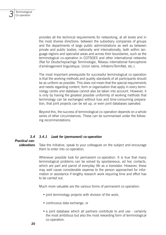provides all the technical requirements for networking, at all levels and in the most diverse directions: between the subsidiary companies of groups and the departments of large public administrations as well as between private and public bodies, nationally and internationally, both within language regions and specialist areas and across their boundaries, such as the terminological co-operation in COTSOES and other international networks (Rat für Deutschsprachige Terminologie, Réseau international francophone d'aménagement linguistique, Union latine, Infoterm/TermNet, etc.).

The most important prerequisite for successful terminological co-operation is that the working methods and quality standards of all participants should be as uniform as possible. This does not mean that the special requirements and needs regarding content, form or organisation that apply in every terminology centre and database cannot also be taken into account. However, it is only by having the greatest possible uniformity of working methods that terminology can be exchanged without fuss and time-consuming preparation, that joint projects can be set up, or even joint databases operated.

Beyond this, the success of terminological co-operation depends on a whole series of other circumstances. These can be summarised under the following recommendations:

#### *3.4 3.4.1 Look for (permanent) co-operation*

#### *Practical considerations*

Take the initiative, speak to your colleagues on the subject and encourage them to enter into co-operation.

Whenever possible look for permanent co-operation. It is true that many terminological problems can be solved by spontaneous, ad hoc contacts, which are part and parcel of everyday life as a translator. However, these may well cause considerable expense to the person approached for information or assistance if lengthy research work requiring time and effort has to be carried out.

Much more valuable are the various forms of permanent co-operation:

- joint terminology projects with division of the work,
- continuous data exchange, or
- a joint database which all partners contribute to and use certainly the most ambitious but also the most rewarding form of terminological co-operation.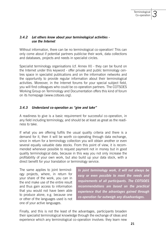*3*

#### *3.4.2 Let others know about your terminological activities use the Internet*

Without information, there can be no terminological co-operation! This can only come about if potential partners publicise their work, data collections and databases, projects and needs in specialist circles.

Specialist terminology organisations (cf. Annex III) - they can be found on the Internet under this keyword - offer private and public terminology centres space in specialist publications and on the information networks and the opportunity to provide regular information about their terminological activities. Moreover, in the Internet forums for your special subject field, you will find colleagues who could be co-operation partners. The COTSOES Working Group on Terminology and Documentation offers this kind of forum on its homepage (www.cotsoes.org).

#### *3.4.3 Understand co-operation as "give and take"*

A readiness to give is a basic requirement for successful co-operation, in any field including terminology, and should be at least as great as the readiness to take.

If what you are offering fulfils the usual quality criteria and there is a demand for it, then it will be worth co-operating through data exchange, since in return for a terminology collection you will obtain another or even several equally valuable data stocks. From this point of view, it is recommended whenever possible to request payment not in money but in good quality terminological data, because in this way you not only increase the profitability of your own work, but also build up your data stock, with a direct benefit for your translation or terminology service.

The same applies to joint terminology projects, where, in return for your share of the work, you can in the end make use of the entire result and thus gain access to information that you would not have been able to produce alone, e.g. because one or other of the languages used is not one of your active languages.

*In joint terminology work, it will not always be easy or even possible to meet the needs and requirements of all participants. The COTSOES recommendations are based on the practical experience that the advantages gained through co-operation far outweigh any disadvantages.*

Finally, and this is not the least of the advantages, participants broaden their specialist terminological knowledge through the exchange of ideas and experience which any terminological co-operation involves: they learn new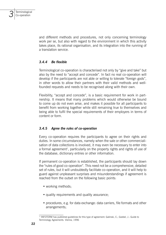

and different methods and procedures, not only concerning terminology work per se, but also with regard to the environment in which this activity takes place, its rational organisation, and its integration into the running of a translation service.

#### *3.4.4 Be flexible*

Terminological co-operation is characterised not only by "give and take" but also by the need to "accept and concede". In fact no real co-operation will develop if the participants are not able or willing to tolerate "foreign gods", in other words to allow their partners with their valid methods and wellfounded requests and needs to be recognised along with their own.

Flexibility, "accept and concede", is a basic requirement for work in partnership. It means that many problems which would otherwise be bound to come up do not even arise, and makes it possible for all participants to benefit from working together while still remaining true to themselves and being able to fulfil the special requirements of their employers in terms of content or form.

#### *3.4.5 Agree the rules of co-operation*

Every co-operation requires the participants to agree on their rights and duties. In some circumstances, namely when the sale or other commercialisation of data collections is involved, it may even be necessary to enter into a formal agreement<sup>1</sup>, particularly on the property rights and rights of use of the database, dictionary entries or other information.

If permanent co-operation is established, the participants should lay down the "rules of good co-operation". This need not be a comprehensive, detailed set of rules, but it will undoubtedly facilitate co-operation, and it will help to guard against unpleasant surprises and misunderstandings if agreement is reached from the outset on the following basic points:

- working methods;
- quality requirements and quality assurance;
- procedures, e.g. for data exchange: data carriers, file formats and other arrangements;

<sup>&</sup>lt;sup>1)</sup> INFOTERM has published guidelines for this type of agreement: Galinski, C.; Goebel, J.: Guide to Terminology Agreements. Vienna, 1996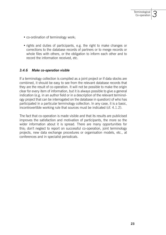*3*

- co-ordination of terminology work;
- rights and duties of participants, e.g. the right to make changes or corrections to the database records of partners or to merge records or whole files with others, or the obligation to inform each other and to record the information received, etc.

#### *3.4.6 Make co-operation visible*

If a terminology collection is compiled as a joint project or if data stocks are combined, it should be easy to see from the relevant database records that they are the result of co-operation. It will not be possible to make the origin clear for every item of information, but it is always possible to give a general indication (e.g. in an author field or in a description of the relevant terminology project that can be interrogated on the database in question) of who has participated in a particular terminology collection. In any case, it is a basic, incontrovertible working rule that sources must be indicated (cf. 4.1.2).

The fact that co-operation is made visible and that its results are publicised improves the satisfaction and motivation of participants, the more so the wider information about it is spread. There are many opportunities for this; don't neglect to report on successful co-operation, joint terminology projects, new data exchange procedures or organisation models, etc., at conferences and in specialist periodicals.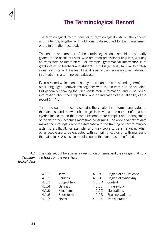# **The Terminological Record**

The terminological record consists of terminological data on the concept and its term/s, together with additional data required for the management of the information recorded.

The nature and amount of the terminological data should be primarily geared to the needs of users, who are often professional linguists, working as translators or interpreters. For example, grammatical information is of great interest to teachers and students, but it is generally familiar to professional linguists, with the result that it is usually unnecessary to include such information in a terminology database.

Even a record which contains only a term and its corresponding term(s) in other languages (equivalents) together with the sources can be valuable. But generally speaking the user needs more information, and in particular information about the subject field and an indication of the reliability of the record (cf. 4.3).

The more data the records contain, the greater the informational value of the database and the wider its usage. However, as the number of data categories increases, so the records become more complex and management of the data stock becomes more time-consuming. Too wide a variety of data makes the interrogation of the database and the training of new terminologists more difficult, for example, and may prove to be a handicap when other people are to be entrusted with compiling records or with managing the data stock. A sensible middle course therefore has to be found.

*4.1 Terminological data* The data set out here gives a description of terms and their usage that concentrates on the essentials

> 4.1.1 Term 4.1.8 Degree of equivalence 4.1.2 Sources 4.1.9 Degree of synonymy 4.1.3 Subject field 4.1.10 Context 4.1.4 Definition 4.1.11 Phraseology 4.1.5 Synonyms 4.1.12 Illustrations 4.1.6 Short forms 4.1.13 Spelling variants 4.1.7 Notes 4.1.14 Transliteration

- 
- 
- 
- 
- 
- 
- 

*4*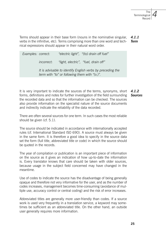*4.1.1 Term* Terms should appear in their base form (nouns in the nominative singular, verbs in the infinitive, etc). Terms comprising more than one word and technical expressions should appear in their natural word order.

*Examples: correct: "electric light", "(to) drain off fuel" incorrect: "light, electric", "fuel, drain off" It is advisable to identify English verbs by preceding the term with "to" or following them with "(v.)".*

It is very important to indicate the sources of the terms, synonyms, short *4.1.2* forms, definitions and notes for further investigation of the field surrounding the recorded data and so that the information can be checked. The sources also provide information on the specialist nature of the source documents and indirectly indicate the reliability of the data recorded. *Sources*

There are often several sources for one term. In such cases the most reliable should be given (cf. 5.1).

The source should be indicated in accordance with internationally accepted rules (cf. International Standard ISO 690). A source must always be given in the same form. It is therefore a good idea to specify in the source data set the form (full title, abbreviated title or code) in which the source should be quoted in the records.

The year of compilation or publication is an important piece of information on the source as it gives an indication of how up-to-date the information is. Every translator knows that care should be taken with older sources, because usage in the subject field concerned may have changed in the meantime.

Use of codes to indicate the source has the disadvantage of being generally opaque and therefore not very informative for the user, and as the number of codes increases, management becomes time-consuming (avoidance of multiple use, accuracy control or central coding) and the risk of error increases.

Abbreviated titles are generally more user-friendly than codes. If a source work is used very frequently in a translation service, a keyword may sometimes be sufficient as an abbreviated title. On the other hand, an outside user generally requires more information.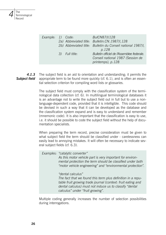| Example: 1) Code: |                | BulCN87/I/128<br>2a) Abbreviated title: Bulletin.CN. 1987/I, 128<br>2b) Abbreviated title: Bulletin du Conseil national 1987/I,<br>p.128 |
|-------------------|----------------|------------------------------------------------------------------------------------------------------------------------------------------|
|                   | 3) Full title: | Bulletin officiel de l'Assemblee federale.<br>Conseil national 1987 (Session de<br>printemps), p.128                                     |

The subject field is an aid to orientation and understanding; it permits the appropriate term to be found more quickly (cf. 6.1), and is often an essential selection criterion for compiling word lists or glossaries. *4.1.3 Subject field*

> The subject field must comply with the classification system of the terminological data collection (cf. 6). In multilingual terminological databases it is an advantage not to write the subject field out in full but to use a nonlanguage-dependent code, provided that it is intelligible. This code should be devised in such a way that it can be developed as the database and the classification system expand and is easy to understand and remember (mnemonic code). It is also important that the classification is easy to use, i.e. it should be possible to code the subject field without the help of documentation specialists.

> When preparing the term record, precise consideration must be given to what subject field the term should be classified under - carelessness can easily lead to annoying mistakes. It will often be necessary to indicate several subject fields (cf. 6.3).

| Examples: "catalytic converter"<br>As this motor vehicle part is very important for environ-<br>mental protection the term should be classified under both<br>"motor vehicle engineering" and "environmental protection".                       |
|-------------------------------------------------------------------------------------------------------------------------------------------------------------------------------------------------------------------------------------------------|
| "dental calculus"<br>The fact that we found this term plus definition in a repu-<br>table fruit growing trade journal (context: fruit eating and<br>dental calculus) must not induce us to classify "dental<br>calculus" under "fruit growing". |

Multiple coding generally increases the number of selection possibilities during interrogations.

*4*

The

**Terminological** Record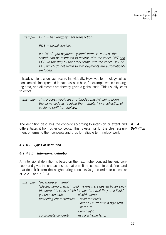*POS = postal services*

 *If a list of "giro payment system" terms is wanted, the search can be restricted to records with the codes BPT and POS. In this way all the other terms with the codes BPT or POS which do not relate to giro payments are automatically excluded.*

It is advisable to code each record individually. However, terminology collections are still incorporated in databases en bloc, for example when exchanging data, and all records are thereby given a global code. This usually leads to errors.

*Example: This process would lead to "guided missile" being given the same code as "clinical thermometer" in a collection of customs tariff terminology.* 

The definition describes the concept according to intension or extent and differentiates it from other concepts. This is essential for the clear assignment of terms to their concepts and thus for reliable terminology work. *4.1.4 Definition*

#### *4.1.4.1 Types of definition*

#### *4.1.4.1.1 Intensional definition*

An intensional definition is based on the next higher concept (generic concept) and gives the characteristics that permit the concept to be defined and that delimit it from the neighbouring concepts (e.g. co-ordinate concepts; cf. 2.2.1 and 5.3.3).

|  | Example: "incandescent lamp"                                   |                                                                |  |  |  |  |
|--|----------------------------------------------------------------|----------------------------------------------------------------|--|--|--|--|
|  | "Electric lamp in which solid materials are heated by an elec- |                                                                |  |  |  |  |
|  |                                                                | tric current to such a high temperature that they emit light." |  |  |  |  |
|  | generic concept:                                               | electric lamp                                                  |  |  |  |  |
|  | restricting characteristics: - solid materials                 |                                                                |  |  |  |  |
|  |                                                                | - heat by current to a high tem-                               |  |  |  |  |
|  |                                                                | perature                                                       |  |  |  |  |
|  |                                                                | - emit light                                                   |  |  |  |  |
|  | co-ordinate concept:                                           | gas discharge lamp                                             |  |  |  |  |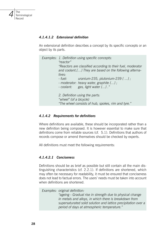

#### *4.1.4.1.2 Extensional definition*

An extensional definition describes a concept by its specific concepts or an object by its parts.

| Examples: 1. Definition using specific concepts:<br>"reactor"                                                          |                                                                                                                    |  |  |
|------------------------------------------------------------------------------------------------------------------------|--------------------------------------------------------------------------------------------------------------------|--|--|
| "Reactors are classified according to their fuel, moderator<br>and coolant.[] They are based on the following alterna- |                                                                                                                    |  |  |
| tives:<br>- fuel:                                                                                                      | uranium-235, plutonium-239 $[$ $]$ ;<br>- moderator: heavy water, graphite [];<br>- coolant: gas, light water []." |  |  |
| "wheel" (of a bicycle)                                                                                                 | 2. Definition using the parts:<br>"The wheel consists of hub, spokes, rim and tyre."                               |  |  |

#### *4.1.4.2 Requirements for definitions*

Where definitions are available, these should be incorporated rather than a new definition being composed. It is however essential to make sure that definitions come from reliable sources (cf. 5.1). Definitions that authors of records compose or amend themselves should be checked by experts.

All definitions must meet the following requirements:

#### *4.1.4.2.1 Conciseness*

Definitions should be as brief as possible but still contain all the main distinguishing characteristics (cf. 2.2.1). If definitions are shortened, which may often be necessary for readability, it must be ensured that conciseness does not lead to factual errors. The users' needs must be taken into account when definitions are shortened.

*Examples: original definition: "ageing - Gradual rise in strength due to physical change in metals and alloys, in which there is breakdown from supersaturated solid solution and lattice precipitation over a period of days at atmospheric temperature."*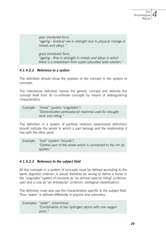*poor shortened form: "ageing - Gradual rise in strength due to physical change in metals and alloys."*

 *good shortened form: "ageing - Rise in strength in metals and alloys in which there is a breakdown from super-saturated solid solution."*

#### *4.1.4.2.2 Reference to a system*

The definition should show the position of the concept in the system of concepts.

The intensional definition names the generic concept and delimits the concept itself from its co-ordinate concepts by means of distinguishing characteristics.

*Example: "horse" (system "ungulates") "Domesticated perissodactyl mammal used for draught work and riding."*

The definition in a system of partitive relations (extensional definition) should indicate the whole to which a part belongs and the relationship it has with the other parts.

*Example: "hub" (system "bicycle") "Central part of the wheel which is connected to the rim by spokes."*

#### *4.1.4.2.3 Reference to the subject field*

All the concepts in a system of concepts must be defined according to the same objective criterion. It would therefore be wrong to define a horse in the "ungulates" system of concepts as "an animal used for riding" (criterion: use) and a cow as "an artiodactyl" (criterion: zoological classification).

The definition must also use the characteristics specific to the subject field. Thus "water" is defined differently in physics and chemistry.

*Examples: "water" (chemistry): "Combination of two hydrogen atoms with one oxygen atom."*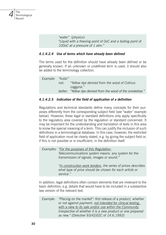*"water" (physics): "Liquid with a freezing point of 0oC and a boiling point of 100oC at a pressure of 1 atm."*

#### *4.1.4.2.4 Use of terms which have already been defined*

The terms used for the definition should have already been defined or be generally known. If an unknown or undefined term is used, it should also be added to the terminology collection.

*Example: "fustic" not: "Yellow dye derived from the wood of Cotinus coggyria." better: "Yellow dye derived from the wood of the smoketree."*

#### *4.1.4.2.5 Indication of the field of application of a definition*

Regulations and technical standards define many concepts for their purposes differently from the corresponding subject field (see "water" example below). However, these legal or standard definitions only apply specifically to the regulatory area covered by the regulation or standard concerned. It may be important for the understanding and translation of texts in this area to know the special meaning of a term. This can justify the inclusion of such definitions in a terminological database. In this case, however, the restricted field of application must be clearly stated, e.g. by giving the subject field or, if this is not possible or is insufficient, in the definition itself.

*Examples: "For the purposes of this Regulation: Telecommunications system means: any system for the transmission of signals, images or sound." "In construction work tenders, the series of prices describes what type of price should be chosen for each article or service."*

In addition, legal definitions often contain elements that are irrelevant to the basic definition, e.g. details that would have to be included in a substantive law version of the relevant text.

*Example: "Placing on the market": first release of a product, whether or not against payment, not intended for clinical testing, with a view to its sale and/or use within the Community, irrespective of whether it is a new product or one prepared as new." (Directive 93/42/EEC of 14.6.1993)*

*4*

The

**Terminological** Record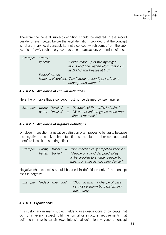Therefore the general subject definition should be entered in the record beside, or even better, before the legal definition, provided that the concept is not a primary legal concept, i.e. not a concept which comes from the subject field "law", such as e.g. contract, legal transaction, or criminal offence.

| Example: | "water"        |                                                          |
|----------|----------------|----------------------------------------------------------|
|          | general:       | "Liquid made up of two hydrogen                          |
|          |                | atoms and one oxygen atom that boils                     |
|          |                | at 100 $\degree$ C and freezes at 0 $\degree$ ."         |
|          | Federal Act on |                                                          |
|          |                | National Hydrology: "Any flowing or standing, surface or |
|          |                | underground waters."                                     |

#### *4.1.4.2.6 Avoidance of circular definitions*

Here the principle that a concept must not be defined by itself applies.

*Example: wrong: "textiles" = "Products of the textile industry." better: "textiles" = "Woven or knitted goods made from fibrous material."*

#### *4.1.4.2.7 Avoidance of negative definitions*

On closer inspection, a negative definition often proves to be faulty because the negative, preclusive characteristic also applies to other concepts and therefore loses its restricting effect.

*Example: wrong: "trailer" = "Non-mechanically propelled vehicle." better: "trailer" = "Vehicle of a kind designed solely to be coupled to another vehicle by means of a special coupling device."*

Negative characteristics should be used in definitions only if the concept itself is negative.

*Example: "indeclinable noun" = "Noun in which a change of case cannot be shown by transforming the ending."*

#### *4.1.4.3 Explanations*

It is customary in many subject fields to use descriptions of concepts that do not in every respect fulfil the formal or structural requirements that definitions have to satisfy (e.g. intensional definition  $=$  generic concept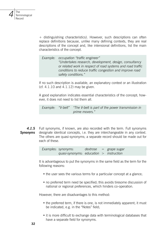

+ distinguishing characteristics). However, such descriptions can often replace definitions because, unlike many defining contexts, they are real descriptions of the concept and, like intensional definitions, list the main characteristics of the concept.

*Example: occupation "traffic engineer" "Undertakes research, development, design, consultancy or related work in respect of road systems and road traffic conditions to reduce traffic congestion and improve road safety conditions."* 

If no such description is available, an explanatory context or an illustration (cf. 4.1.10 and 4.1.12) may be given.

A good explanation indicates essential characteristics of the concept; however, it does not need to list them all.

*Example: "V-belt" "The V-belt is part of the power transmission in prime movers."*

Full synonyms, if known, are also recorded with the term. Full synonyms designate identical concepts, i.e. they are interchangeable in any context. The others are quasi-synonyms; a separate record should be made out for each of these. *4.1.5 Synonyms*

> *Examples: synonyms: dextrose = grape sugar quasi-synonyms: education > instruction*

It is advantageous to put the synonyms in the same field as the term for the following reasons:

- the user sees the various terms for a particular concept at a glance;
- no preferred term need be specified; this avoids tiresome discussion of national or regional preferences, which hinders co-operation.

However, there are disadvantages to this method:

- the preferred term, if there is one, is not immediately apparent; it must be indicated, e.g. in the "Notes" field;
- it is more difficult to exchange data with terminological databases that have a separate field for synonyms.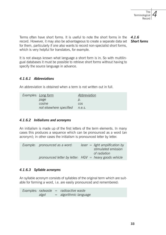Terms often have short forms. It is useful to note the short forms in the *4.1.6* record. However, it may also be advantageous to create a separate data set for them, particularly if one also wants to record non-specialist short forms, which is very helpful for translators, for example. *Short forms*

It is not always known what language a short form is in. So with multilingual databases it must be possible to retrieve short forms without having to specify the source language in advance.

#### *4.1.6.1 Abbreviations*

An abbreviation is obtained when a term is not written out in full.

| Examples: Long form            | Abbreviation |
|--------------------------------|--------------|
| page                           | D.           |
| cosine                         | COS.         |
| not elsewhere specified n.e.s. |              |

#### *4.1.6.2 Initialisms and acronyms*

An initialism is made up of the first letters of the term elements. In many cases this produces a sequence which can be pronounced as a word (an acronym); in other cases the initialism is pronounced letter by letter.

| Example: pronounced as a word: | $laser = light amplification by$<br>stimulated emission  |
|--------------------------------|----------------------------------------------------------|
|                                | of radiation                                             |
|                                |                                                          |
|                                | pronounced letter by letter: $HGV =$ heavy goods vehicle |

#### *4.1.6.3 Syllable acronyms*

An syllable acronym consists of syllables of the original term which are suitable for forming a word, i.e. are easily pronounced and remembered:

*Examples: radwaste = radioactive waste algol = algorithmic language*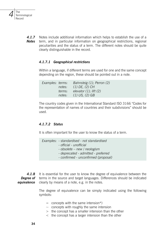Notes include additional information which helps to establish the use of a term, and in particular information on geographical restrictions, regional peculiarities and the status of a term. The different notes should be quite clearly distinguishable in the record. *4.1.7 Notes*

#### *4.1.7.1 Geographical restrictions*

Within a language, if different terms are used for one and the same concept depending on the region, these should be pointed out in a note.

| Examples: terms: |        | Bahnsteig (1); Perron (2)   |
|------------------|--------|-----------------------------|
|                  | notes: | $(1)$ DE, $(2)$ CH          |
|                  | terms: | elevator $(1)$ ; lift $(2)$ |
|                  | notes: | $(1)$ US, $(2)$ GB          |

The country codes given in the International Standard ISO 3166 "Codes for the representation of names of countries and their subdivisions" should be used.

#### *4.1.7.2 Status*

*4*

The

**Terminological** Record

It is often important for the user to know the status of a term.

*Examples: - standardised - not standardised - official - unofficial - obsolete – new / neologism - deprecated - admitted - preferred - confirmed - unconfirmed (proposal)* 

It is essential for the user to know the degree of equivalence between the **Degree of** terms in the source and target languages. Differences should be indicated clearly by means of a note, e.g. in the notes. *4.1.8 equivalence*

> The degree of equivalence can be simply indicated using the following symbols:

- $=$  concepts with the same intension\*)
- $\sim$  concepts with roughly the same intension
- > the concept has a smaller intension than the other
- < the concept has a larger intension than the other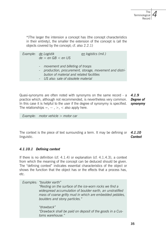\*)The larger the intension a concept has (the concept characteristics in their entirety), the smaller the extension of the concept is (all the objects covered by the concept; cf. also 2.2.1)

*Example: de Logistik en logistics (mil.) de = en GB < en US* movement and billeting of troops  *- production, procurement, storage, movement and distribution of material and related facilities US also: sale of obsolete material* 

Quasi-synonyms are often noted with synonyms on the same record - a *4.1.9* practice which, although not recommended, is nevertheless very common. In this case it is helpful to the user if the degree of synonymy is specified. The relationships  $=$ ,  $\sim$ ,  $>$ ,  $\lt$  also apply here. *Degree of synonymy*

*Example: motor vehicle > motor car*

The context is the piece of text surrounding a term. It may be defining or *4.1.10* linguistic. *Context*

#### *4.1.10.1 Defining context*

If there is no definition (cf. 4.1.4) or explanation (cf. 4.1.4.3), a context from which the meaning of the concept can be deduced should be given. The "defining context" indicates essential characteristics of the object or shows the function that the object has or the effects that a process has, etc.

| Examples: "boulder earth"<br>"Resting on the surface of the ice-worn rocks we find a<br>widespread accumulation of boulder earth, an unstratified<br>mass of coarse gritty mud in which are embedded pebbles,<br>boulders and stony particles." |
|-------------------------------------------------------------------------------------------------------------------------------------------------------------------------------------------------------------------------------------------------|
| "drawback"<br>"Drawback shall be paid on deposit of the goods in a Cus-<br>toms warehouse."                                                                                                                                                     |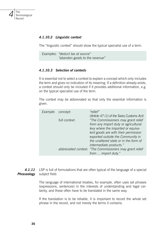

#### *4.1.10.2 Linguistic context*

The "linguistic context" should show the typical specialist use of a term.

*Examples: "deduct tax at source" "abandon goods to the revenue"*

#### *4.1.10.3 Selection of contexts*

It is essential not to select a context to explain a concept which only includes the term and gives no indication of its meaning. If a definition already exists, a context should only be included if it provides additional information, e.g. on the typical specialist use of the term.

The context may be abbreviated so that only the essential information is given.

| Example: concept: |               | "relief"                                                 |
|-------------------|---------------|----------------------------------------------------------|
|                   |               | (Article 47 (1) of the Swiss Customs Act)                |
|                   | full context: | "The Commissioners may grant relief                      |
|                   |               | from any import duty or agricultural                     |
|                   |               | levy where the imported or equiva-                       |
|                   |               | lent goods are with their permission                     |
|                   |               | exported outside the Community in                        |
|                   |               | the unaltered state or in the form of                    |
|                   |               | intermediate products."                                  |
|                   |               | abbreviated context: "The Commissioners may grant relief |
|                   |               | from  import duty."                                      |
|                   |               |                                                          |

LSP is full of formulations that are often typical of the language of a special subject field. *4.1.11 Phraseology*

> The language of international treaties, for example, often uses set phrases (expressions, sentences) in the interests of understanding and legal certainty, and these often have to be translated in the same way.

> If the translation is to be reliable, it is important to record the whole set phrase in the record, and not merely the terms it contains.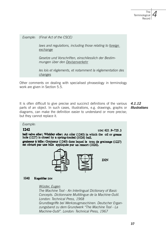#### *Example: (Final Act of the CSCE)*

 *laws and regulations, including those relating to foreign exchange*

 *Gesetze und Vorschriften, einschliesslich der Bestimmungen über den Devisenverkehr*

 *les lois et règlements, et notamment la réglementation des changes*

Other comments on dealing with specialised phraseology in terminology work are given in Section 5.5.

It is often difficult to give precise and succinct definitions of the various *4.1.12* parts of an object. In such cases, illustrations, e.g. drawings, graphs or *Illustrations*diagrams, can make the definition easier to understand or more precise; but they cannot replace it.

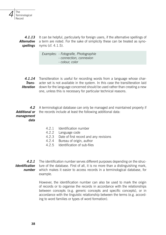

It can be helpful, particularly for foreign users, if the alternative spellings of a term are noted. For the sake of simplicity these can be treated as synonyms (cf. 4.1.5). *4.1.13 Alternative spellings*

> *Examples: - Fotografie, Photographie - connection, connexion - colour, color*

4.1.14 Transliteration is useful for recording words from a language whose character set is not available in the system. In this case the transliteration laid down for the language concerned should be used rather than creating a new one, unless this is necessary for particular technical reasons. *Transliteration*

A terminological database can only be managed and maintained properly if the records include at least the following additional data: *4.2 Additional or management data*

- 4.2.1 Identification number
- 4.2.2 Language code
- 4.2.3 Date of first record and any revisions
- 4.2.4 Bureau of origin, author
- 4.2.5 Identification of sub-files

The identification number serves different purposes depending on the struc-**Identification** ture of the database. First of all, it is no more than a distinguishing mark, which makes it easier to access records in a terminological database, for example. *4.2.1 number*

> However, the identification number can also be used to mark the origin of records or to organise the records in accordance with the relationships between concepts (e.g. generic concepts and specific concepts), or in accordance with the linguistic relationship between the terms (e.g. according to word families or types of word formation).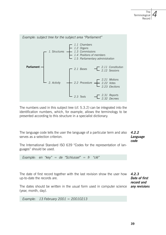

The numbers used in this subject tree (cf. 5.3.2) can be integrated into the identification numbers, which, for example, allows the terminology to be presented according to this structure in a specialist dictionary.

The language code tells the user the language of a particular term and also serves as a selection criterion.

*4.2.2 Language code*

*record and any revisions*

The International Standard ISO 639 "Codes for the representation of languages" should be used.

*Example: en "key" = de "Schlussel" = fr "clé"*

*4.2.3* The date of first record together with the last revision show the user how *Date of first*  up-to-date the records are.

The dates should be written in the usual form used in computer science (year, month, day).

*Example: 13 February 2001 = 20010213*

**38 39**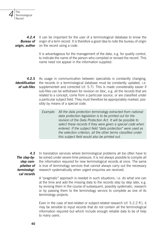

It can be important for the user of a terminological database to know the origin of a term record. It is therefore a good idea to note the bureau of origin on the record using a code. *4.2.4 Bureau of origin, author*

> It is advantageous for the management of the data, e.g. for quality control, to indicate the name of the person who compiled or revised the record. This name need not appear in the information supplied.

As usage in communication between specialists is constantly changing, the records in a terminological database must be constantly updated, i.e. supplemented and corrected (cf. 5.7). This is made considerably easier if sub-files can be withdrawn for revision en bloc, e.g. all the records that are related to a concept, come from a particular source, or are classified under a particular subject field. They must therefore be appropriately marked, possibly by means of a special code. *4.2.5 Identification of sub-files*

> *Example: All the data protection terminology extracted from national data protection legislation is to be printed out for the revision of the Data Protection Act. It will be possible to select these records if they were given a special code when entered. If the subject field "data protection" were used as the selection criterion, all the other terms classified under this subject field would also be printed out.*

*4.3 The step-bystep compilation of terminological records*

In translation services where terminological problems all too often have to be solved under severe time pressure, it is not always possible to compile all the information required for new terminological records at once. The same is true of terminology services that cannot always carry out the necessary research systematically when urgent enquiries are received.

A "pragmatic" approach is needed in such situations, i.e. do what one can at the time and add the missing data to the records step by step later, e.g. by revising them in the course of subsequent, possibly systematic, research or by passing them to the terminology service to complete as one of its terminology projects.

Even in the case of text-related or subject-related research (cf. 5.2.2 ff.), it may be sensible to input records that do not contain all the terminological information required but which include enough reliable data to be of help to many users.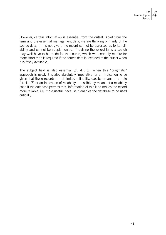However, certain information is essential from the outset. Apart from the term and the essential management data, we are thinking primarily of the source data. If it is not given, the record cannot be assessed as to its reliability and cannot be supplemented. If revising the record later, a search may well have to be made for the source, which will certainly require far more effort than is required if the source data is recorded at the outset when it is freely available.

The subject field is also essential (cf. 4.1.3). When this "pragmatic" approach is used, it is also absolutely imperative for an indication to be given that these records are of limited reliability, e.g. by means of a note (cf. 4.1.7) or an indication of reliability – possibly by means of a reliability code if the database permits this. Information of this kind makes the record more reliable, i.e. more useful, because it enables the database to be used critically.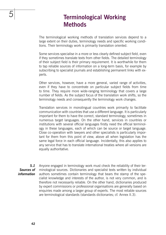# **Terminological Working Methods**

The terminological working methods of translation services depend to a large extent on their duties, terminology needs and specific working conditions. Their terminology work is primarily translation oriented.

Some services specialise in a more or less clearly defined subject field, even if they sometimes translate texts from other fields. The detailed terminology of their subject field is their primary requirement. It is worthwhile for them to tap reliable sources of information on a long-term basis, for example by subscribing to specialist journals and establishing permanent links with experts.

Other services, however, have a more general, varied range of activities, even if they have to concentrate on particular subject fields from time to time. They require more wide-ranging terminology that covers a large number of fields. As the subject focus of the translation work shifts, so the terminology needs and consequently the terminology work changes.

Translation services in monolingual countries work primarily to facilitate communication with countries that use a different language. It is particularly important for them to have the correct, standard terminology, sometimes in numerous target languages. On the other hand, services in countries or institutions with several official languages firstly need the official terminology in these languages, each of which can be source or target language. Close co-operation with lawyers and other specialists is particularly important for them from this point of view, above all when legislation has the same legal force in each official language. Incidentally, this also applies to any service that has to translate international treaties where all versions are equally authoritative.

*5.1 Sources of information* Anyone engaged in terminology work must check the reliability of their terminological sources. Dictionaries and specialist texts written by individual authors sometimes contain terminology that bears the stamp of the specialist knowledge and interests of the author, is not very common, and is therefore not necessarily reliable. On the other hand, dictionaries produced by expert commissions or professional organisations are generally based on enquiries made among a larger group of experts. The most reliable sources are terminological standards (standards dictionaries; cf. Annex II.3).

**42 43**

*5*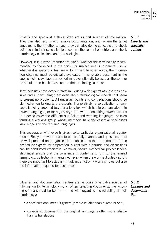Experts and specialist authors often act as first sources of information. They can also recommend reliable documentation, and, where the target *Experts and*  language is their mother tongue, they can also define concepts and check definitions in their specialist field, confirm the content of entries, and check terminology collections and phraseologies.

However, it is always important to clarify whether the terminology recommended by the expert in the particular subject area is in general use or whether it is specific to his firm or to himself. In other words, the information obtained must be critically evaluated. If no reliable document in the subject field is available, an expert may exceptionally be used as the source; he should then be cited as such in the terminological record.

Terminologists have every interest in working with experts as closely as possible and in consulting them even about terminological records that seem to present no problems. All uncertain points and contradictions should be clarified when talking to the experts. If a relatively large collection of concepts is being prepared (e.g. for a long text which has to be translated into several languages, or for a glossary), it is worth consulting several experts in order to cover the different sub-fields and working languages, or even forming a working group whose members have the essential specialised knowledge and the required languages.

This cooperation with experts gives rise to particular organisational requirements. Firstly, the work needs to be carefully planned and questions must be well prepared and organised into subjects, so that the amount of time needed by experts for preparation is kept within bounds and discussions can be conducted efficiently. Moreover, secure methodical project leadership must ensure that the coherence in content and form of the revised terminology collection is maintained, even when the work is divided up. It is therefore important to establish in advance not only working rules but also the information required for each record.

Libraries and documentation centres are particularly valuable sources of information for terminology work. When selecting documents, the following criteria should be borne in mind with regard to the reliability of their terminology:

*5.1.2 Libraries and documentation*

- a specialist document is generally more reliable than a general one;
- a specialist document in the original language is often more reliable than its translation;

*5.1.1 specialist authors*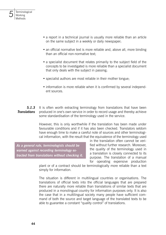

- a report in a technical journal is usually more reliable than an article on the same subject in a weekly or daily newspaper;
- an official normative text is more reliable and, above all, more binding than an official non-normative text;
- a specialist document that relates primarily to the subject field of the concepts to be investigated is more reliable than a specialist document that only deals with the subject in passing;
- specialist authors are most reliable in their mother tongue;
- information is more reliable when it is confirmed by several independent sources.

It is often worth extracting terminology from translations that have been produced in one's own service in order to record usage and thereby achieve some standardisation of the terminology used in the service. *5.1.3 Translations*

> However, this is only worthwhile if the translation has been made under favourable conditions and if it has also been checked. Translators seldom have enough time to make a careful note of sources and other terminological information, with the result that the equivalence of the terminology used

*As a general rule, terminologists should be warned against recording terminology extracted from translations without checking it.* in the translation often cannot be verified without further research. Moreover, the quality of the terminology used in a translation is closely connected to its purpose. The translation of a manual for operating expensive production

plant or of a contract should be terminologically more reliable than a text simply for information.

The situation is different in multilingual countries or organisations. The translations of official texts into the official languages that are prepared there are naturally more reliable than translations of similar texts that are produced in a monolingual country for information purposes only. It is also the case that in a multilingual society many people have sufficient command of both the source and target language of the translated texts to be able to guarantee a constant "quality control" of translations.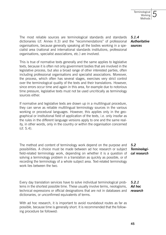The most reliable sources are terminological standards and standards dictionaries (cf. Annex II.3) and the "recommendations" of professional organisations, because generally speaking all the bodies working in a specialist area (national and international standards institutions, professional organisations, specialist associations, etc.) are involved.

This is true of normative texts generally and the same applies to legislative texts, because it is often not only government bodies that are involved in the legislative process, but also a broad range of other interested parties, often including professional organisations and specialist associations. Moreover, the process, which often has several stages, exercises very strict control over the terminological quality of the texts and their translations. However, since errors occur time and again in this area, for example due to notorious time pressure, legislative texts must not be used uncritically as terminology sources either.

If normative and legislative texts are drawn up in a multilingual procedure, they can serve as reliable multilingual terminology sources in the various working or procedural languages. However, this applies only in the geographical or institutional field of application of the texts, i.e. only insofar as the rules in the different language versions apply to one and the same reality, in other words, only in the country or within the organisation concerned  $(cf. 5.4)$ .

The method and content of terminology work depend on the purpose and possibilities. A choice must be made between ad hoc research or subject field-related terminology work, depending on whether it is a question of solving a terminology problem in a translation as quickly as possible, or of recording the terminology of a whole subject area. Text-related terminology work lies between the two. *5.2*

*Terminological research*

Every day translation services have to solve individual terminological problems in the shortest possible time. These usually involve terms, neologisms, technical expressions or official designations that are not in databases and dictionaries, or unconfirmed equivalents of terms. *5.2.1 Ad hoc research*

With ad hoc research, it is important to avoid roundabout routes as far as possible, because time is generally short. It is recommended that the following procedure be followed:

#### *5.1.4 Authoritative sources*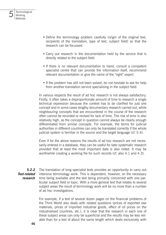*5*

- Define the terminology problem carefully (origin of the original text, recipients of the translation, type of text, subject field) so that the research can be focussed.
- Carry out research in the documentation held by the service that is directly related to the subject field.
- If there is no relevant documentation to hand, consult a competent specialist centre that can provide the information itself, recommend relevant documentation or give the name of the "right" expert.
- If the problem has still not been solved, do not hesitate to ask for help from another translation service specialising in the subject field.

In various respects the result of ad hoc research is not always satisfactory. Firstly, it often takes a disproportionate amount of time to research a single technical expression because the context has to be clarified for just one concept and in some cases lengthy documentary research carried out, while neighbouring concepts that are encountered in the course of the research often cannot be recorded or revised for lack of time. The risk of error is also relatively high, as the concept in question cannot always be clearly enough differentiated from similar concepts. For example, the terms for judicial authorities in different countries can only be translated correctly if the whole judicial system is familiar in the source and the target language (cf. 5.4).

Even if for the above reasons the results of ad hoc research are not necessarily entered in a database, they can be useful for later systematic research provided that at least the most important data is also noted. It may be worthwhile creating a working file for such records (cf. also 4.1 and 4.3).

The translation of long specialist texts provides an opportunity to carry out intensive terminology work. This is dependent, however, on the necessary time being available and the text being primarily concerned with one particular subject field or topic. With a more general text that relates to several subject areas the result of terminology work will be no more than a number of ad hoc investigations. *5.2.2 Text-related research*

> For example, if a text of several dozen pages on the financial problems of the Third World also deals with related questions (prices of exported raw materials, prices of imported industrial goods, effect of oil prices on the industrialised countries, etc.), it is clear that the research in each one of these subject areas can only be superficial and the results may be less reliable than for a text of about the same length which deals exclusively with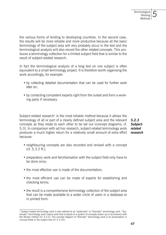the various forms of lending to developing countries. In the second case, the results will be more reliable and more productive because all the basic terminology of the subject area will very probably occur in the text and the terminological analysis will also record the other related concepts. This produces a terminology collection for a limited subject field that is similar to the result of subject-related research.

In fact the terminological analysis of a long text on one subject is often equivalent to a small terminology project. It is therefore worth organising the work accordingly, for example:

- by collecting detailed documentation that can be used for further work later on;
- by contacting competent experts right from the outset and form a working party if necessary.

Subject-related research<sup>1</sup> is the most reliable method because it allows the terminology of all or part of a clearly defined subject area and the relevant concepts as they relate to each other to be set out (concept diagrams; cf. 5.3). In comparison with ad hoc research, subject-related terminology work produces a much higher return for a relatively small amount of extra effort *research* because: *5.2.3 Subjectrelated* 

- neighbouring concepts are also recorded and revised with a concept (cf. 5.3.2 ff.);
- preparatory work and familiarisation with the subject field only have to be done once;
- the most effective use is made of the documentation;
- the most efficient use can be made of experts for establishing and checking terms;
- the result is a comprehensive terminology collection of the subject area that can be made available to a wider circle of users in a database or in printed form.

<sup>1)</sup> Subject-related terminology work is also referred to as "systematic" or "thematic" terminology work. "Systematic" terminology work means work that is based on a system of concepts drawn up in accordance with the Wüster method (cf. 5.3.3). The concept diagram of "thematic" terminology work is its presentation in concept fields or the subject tree (cf. 5.3.1ff.).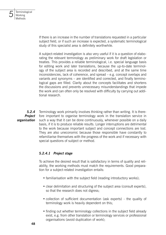

If there is an increase in the number of translations requested in a particular subject field, or if such an increase is expected, a systematic terminological study of this specialist area is definitely worthwhile.

A subject-related investigation is also very useful if it is a question of elaborating the relevant terminology as preliminary work for draft legislation or treaties. This provides a reliable terminological, i.e. special language basis for editing work and later translations, because the up-to-date terminology of the subject area is recorded and described, and at the same time inconsistencies, lack of coherence, and spread – e.g. concept overlaps and variants and synonyms – are identified and corrected, and finally terminological gaps are filled. Clarity about the concepts facilitates and shortens the discussions and prevents unnecessary misunderstandings that impede the work and can often only be resolved with difficulty by carrying out additional research.

Terminology work primarily involves thinking rather than writing. It is therefore important to organise terminology work in the translation service in such a way that it can be done continuously, whenever possible on a daily basis, if it is to produce reliable results. Longer interruptions are detrimental to the work because important subject and concept connections are lost. They are also uneconomic because those responsible have constantly to refamiliarise themselves with the progress of the work and if necessary with special questions of subject or method. *5.2.4 Project organisation*

#### *5.2.4.1 Project stage*

To achieve the desired result that is satisfactory in terms of quality and reliability, the working methods must match the requirements. Good preparation for a subject-related investigation entails:

- familiarisation with the subject field (reading introductory works);
- clear delimitation and structuring of the subject area (consult experts), so that the research does not digress;
- collection of sufficient documentation (ask experts) the quality of terminology work is heavily dependent on this;
- finding out whether terminology collections in the subject field already exist, e.g. from other translation or terminology services or professional organisations (avoid duplication of work);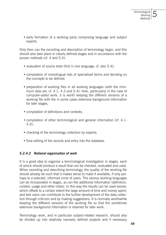• early formation of a working party comprising language and subject experts.

Only then can the recording and description of terminology begin, and this should also take place in clearly defined stages and in accordance with the proven methods (cf. 4 and 5.4):

- evaluation of source texts (first in one language; cf. also 5.4);
- compilation of monolingual lists of specialised terms and deciding on the concepts to be defined;
- preparation of working files in all working languages (with the minimum data set; cf. 4.1, 4.3 and 5.4); here, particularly in the case of computer-aided work, it is worth keeping the different versions of a working file with the in some cases extensive background information for later stages;
- compilation of definitions and contexts;
- compilation of other terminological and general information (cf. 4.1- 4.3);
- checking of the terminology collection by experts;
- final editing of the records and entry into the database.

#### *5.2.4.2 Rational organisation of work*

It is a good idea to organise a terminological investigation in stages, each of which should produce a result that can be checked, evaluated and used. When recording and describing terminology, the quality of the working file should already be such that it makes sense to make it available, if only perhaps to a selected, informed circle of users. The various working languages can be incorporated in stages, as can the additional information (definition, context, usage and other notes). In this way the results can be used sooner, which offsets to a certain extent the large amount of time and money spent, and test users can contribute to the further development of the data collection through criticism and by making suggestions. It is normally worthwhile keeping the different versions of the working file so that the sometimes extensive background information is retained for later work.

Terminology work, and in particular subject-related research, should also be divided up into relatively narrowly defined projects and if necessary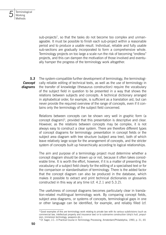

sub-projects<sup>2</sup>, so that the tasks do not become too complex and unmanageable. It must be possible to finish each sub-project within a reasonable period and to produce a usable result. Individual, reliable and fully usable sub-sections are gradually incorporated to form a comprehensive whole. Terminology projects on too large a scale run the risk of becoming "endless" projects, and this can dampen the motivation of those involved and eventually hamper the progress of the terminology work altogether.

The system-compatible further development of terminology, the terminologically reliable editing of technical texts, as well as the use of terminology in the transfer of knowledge (thesaurus construction) require the vocabulary of the subject field in question to be presented in a way that shows the relations between subjects and concepts. A technical dictionary arranged in alphabetical order, for example, is sufficient as a translation aid, but can never provide the required overview of the range of concepts, even if it contains only the terminology of the subject field concerned. *5.3*

Relations between concepts can be shown very well in graphic form (a concept diagram)<sup>3</sup> , provided that this presentation is descriptive and clear. However, as the relations between concepts may be complex, it is not always easy to construct a clear system. There are therefore different types of concept diagrams for terminology: presentation in concept fields or the subject area diagram with tree structure (subject area tree), both of which leave relatively large scope for the arrangement of concepts, and the stricter system of concepts built up hierarchically according to logical relationships.

The aim and purpose of a terminology project must determine whether a concept diagram should be drawn up or not, because it often takes considerable time. It is worth the effort, however, if it is a matter of presenting the vocabulary of a subject field clearly for the editing of a specialised text or for the comparison or standardisation of terminology. There is the added factor that the concept diagram can also be produced in the database, which makes it possible to extract and print technical dictionaries or glossaries constructed in this way at any time (cf. 4.2.1 and 5.3.2).

The usefulness of concept diagrams becomes particularly clear in translation-related multilingual terminology work. By comparing concept fields, subject area diagrams, or systems of concepts, terminological gaps in one or other language can be identified, for example, and reliably filled (cf.

*Concept diagrams*

<sup>2)</sup> Good examples of this are terminology work relating to private law with its various subdivisions (such as commercial law, intellectual property and insurance law) or to submarine construction (ship's hull, propulsion, immersion technology, weapons etc.).

<sup>3)</sup> Cf. Sager, J.C.: A Practical Course in Terminology Processing, Amsterdam/Philadelphia, 1990, p. 31, 65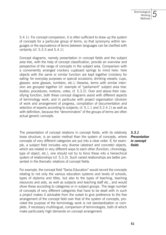5.4.1). For concept comparison, it is often sufficient to draw up the system of concepts for a particular group of terms, so that synonymy within languages or the equivalence of terms between languages can be clarified with certainty (cf. 5.3.3 and 5.4.1).

Concept diagrams, namely presentation in concept fields and the subject area tree, with the help of concept classification, provide an overview and perspective of the range of concepts in the subject area. Comparison with a conveniently arranged crockery cupboard springs to mind here: here objects with the same or similar function are kept together (crockery for eating: for everyday purposes or special occasions; drinking vessels: cups, glasses: wine glasses, tumblers, etc.); likewise, terms with similar intension are grouped together (cf. example of "parliament" subject area tree: bodies; procedures; motions, votes; cf. 5.3.2). Over and above their classifying function, both these concept diagrams assist with different aspects of terminology work, and in particular with project organisation (division of work and arrangement of progress, compilation of documentation and selection of experts according to subjects; cf. 5.1.1 and 5.2.4.1) as well as with definition, because the "denominators" of the groups of terms are often actual generic concepts.

The presentation of concept relations in concept fields, with its relatively loose structure, is an easier method than the system of concepts, where concepts of very different categories are put into a clear order. If, for example, a subject field includes very diverse (abstract and concrete) objects, which are related in very different ways to each other (function, chronology, type of object, etc.), one should not try to force these into a hierarchical system of relationships (cf. 5.3.3). Such varied relationships are better presented in the thematic relations of concept fields.

*5.3.1 Presentation in concept fields*

For example, the concept field "Swiss Education" would record the concepts relating to not only the various education systems and levels of schools, types of diploma and titles, but also to the types of teaching, teaching resources and aids, as well as subjects and teaching staff etc., and would show these according to categories or in subject groups. The large number of concepts of very different categories that have to be dealt with in such a project makes it advisable from the outset to give preference to the free arrangement of the concept field over that of the system of concepts, provided the purpose of the terminology work is not standardisation or complete, if necessary multilingual, comparison of terminologies, both of which make particularly high demands on concept arrangement.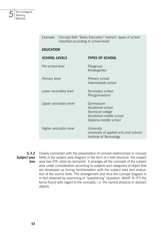

| Example:               | Concept field "Swiss Education" (extract: types of school<br>classified according to school level) |                                                                                                          |
|------------------------|----------------------------------------------------------------------------------------------------|----------------------------------------------------------------------------------------------------------|
| <b>EDUCATION</b>       |                                                                                                    |                                                                                                          |
| <b>SCHOOL LEVELS</b>   |                                                                                                    | <b>TYPES OF SCHOOL</b>                                                                                   |
| Pre-school level       |                                                                                                    | Playgroup<br>Kindergarten                                                                                |
| Primary level          |                                                                                                    | Primary school<br>Intermediate school                                                                    |
|                        | Lower secondary level                                                                              | Secondary school<br>Pre-gymnasium                                                                        |
|                        | Upper secondary level                                                                              | Gymnasium<br>Vocational school<br>Technical college<br>Vocational middle school<br>Diploma middle school |
| Higher education level |                                                                                                    | University<br>University of applied arts and science<br>Institute of Technology                          |

Closely connected with the presentation of concept relationships in concept fields is the subject area diagram in the form of a tree structure, the subject area tree (FR: arbre du domaine). It arranges all the concepts of the subject area under consideration according to subjects and categories of object that are developed up during familiarisation with the subject area and evaluation of the source texts. The arrangement and thus the concept diagram is in fact obtained by examining or "questioning" (question: WHAT IS IT?) the terms found with regard to the concepts, i.e. the named physical or abstract objects. *5.3.2 Subject area tree*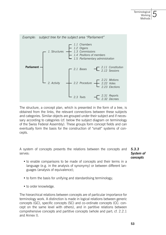

The structure, a concept plan, which is presented in the form of a tree, is obtained from the links, the relevant connections between these subjects and categories. Similar objects are grouped under their subject and if necessary according to categories (cf. below the subject diagram on terminology of the Swiss Federal Assembly). These groups form concept fields and can eventually form the basis for the construction of "small" systems of concepts.

A system of concepts presents the relations between the concepts and serves:

*5.3.3 System of concepts*

- to enable comparisons to be made of concepts and their terms in a language (e.g. in the analysis of synonymy) or between different languages (analysis of equivalence);
- to form the basis for unifying and standardising terminology;
- to order knowledge.

The hierarchical relations between concepts are of particular importance for terminology work. A distinction is made in logical relations between generic concepts (GC), specific concepts (SC) and co-ordinate concepts (CC: concept on the same level with others), and in partitive relations between comprehensive concepts and partitive concepts (whole and part; cf. 2.2.1 and Annex I).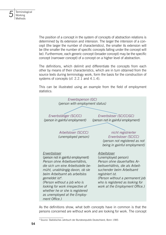The position of a concept in the system of concepts of abstraction relations is determined by its extension and intension. The larger the intension of a concept (the larger the number of characteristics), the smaller its extension will be (the smaller the number of specific concepts falling under the concept will be). Furthermore, each generic concept (broader concept) may be the specific concept (narrower concept) of a concept on a higher level of abstraction.

The definitions, which delimit and differentiate the concepts from each other by means of their characteristics, which are in turn obtained from the source texts during terminology work, form the basis for the construction of systems of concepts (cf. 2.2.1 and 4.1.4).

This can be illustrated using an example from the field of employment statistics:



As the definitions show, what both concepts have in common is that the persons concerned are without work and are looking for work. The concept

<sup>4)</sup> Source: Statistisches Jahrbuch der Bundesrepublik Deutschland, Bonn 1985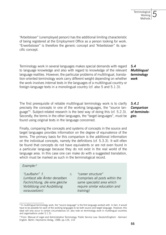"Arbeitsloser" (unemployed person) has the additional limiting characteristic of being registered at the Employment Office as a person looking for work. "Erwerbsloser" is therefore the generic concept and "Arbeitsloser" its specific concept.

Terminology work in several languages makes special demands with regard to language knowledge and also with regard to knowledge of the relevant language realities. However, the particular problems of multilingual, translation-oriented terminology work carry different weight depending on whether the work involves internal texts in the languages of a multilingual country or foreign-language texts in a monolingual country (cf. also 5 and 5.1.3).

The first prerequisite of reliable multilingual terminology work is to clarify precisely the concepts in one of the working languages, the "source language"<sup>5</sup> . Subject-related research is the best way of doing this (cf. 5.2.3). Secondly, the terms in the other languages, the "target languages", must be found using original texts in the language concerned.

Finally, comparing the concepts and systems of concepts in the source and target languages provides information on the degree of equivalence of the terms. The primary basis for this comparison is the additional information on the individual concepts, namely the definitions (cf. 5.3.3). It will often be found that concepts do not have equivalents or are not even found in a particular language because they do not exist in the real world of the language area. In this case one can make do with a suggested translation, which must be marked as such in the terminological record.

#### *Example:<sup>6</sup>*

*"Laufbahn" f. ± (umfasst alle Ämter derselben Fachrichtung, die eine gleiche Vorbildung und Ausbildung voraussetzen)*

*"career structure" (comprises all posts within the same specialist area which require similar education and training)*

*5.4 Multilingual terminology work*

*5.4.1 Comparison of terminologies*

<sup>5)</sup> In multilingual terminology work, the "source language" is the first language worked with. In fact, it would have to be possible for each of the working languages to be both source and target language. However, this ideal will only occur in certain circumstances (cf. also note on terminology work in multilingual countries and organisations under 5.1.3).

<sup>6)</sup> From: Manual of Legal and Administrative Terminology. Public Service Law. Deutsch/Englisch - German/ English. Berlin: Heymanns Verlag, 1988, pp.126, 133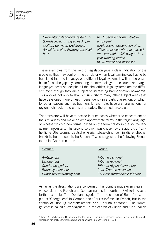

| tp.: "specialist administrative   |
|-----------------------------------|
| employee"                         |
| (professional designation of an   |
| office employee who has passed    |
| an examination following a three- |
| year training period)             |
| $tp. = translation$ proposed      |
|                                   |

These examples from the field of legislation give a clear indication of the problems that may confront the translator when legal terminology has to be translated into the language of a different legal system. It will not be possible to fill all the gaps by comparing the terminology in the source and target languages because, despite all the similarities, legal systems are too different, even though they are subject to increasing harmonisation nowadays. This applies not only to law, but similarly to many other subject areas that have developed more or less independently in a particular region, or which for other reasons such as tradition, for example, have a strong national or regional character (old crafts and trades, the armed forces, etc.).

The translator will have to decide in such cases whether to concentrate on the similarities and make do with approximate terms in the target language, or whether to coin new terms, based on the terminology in the source language if necessary. The second solution was chosen by the authors of "Einheitliche Übersetzung deutscher Gerichtsbezeichnungen in die englische, französische und spanische Sprache"<sup>7</sup> who suggested the following French terms for German courts:

| German                   | French                          |
|--------------------------|---------------------------------|
| Amtsgericht              | Tribunal cantonal               |
| Landgericht              | Tribunal régional               |
| Oberlandesgericht        | Tribunal régional supérieur     |
| <b>Bundesgerichtshof</b> | Cour fédérale de Justice        |
| Bundesverfassungsgericht | Cour constitutionnelle fédérale |

As far as the designations are concerned, this point is made even clearer if we consider the French and German names for courts in Switzerland as a further example. The "Oberlandesgericht" in the canton of Bern, for example, is "Obergericht" in German and "Cour suprême" in French, but in the canton of Fribourg "Kantonsgericht" and "Tribunal cantonal". The "Amtsgericht" is called "Bezirksgericht" in the canton of Zurich and "Tribunal de

<sup>7)</sup> From: Auswärtiges Amt/Bundesminister der Justiz: "Einheitliche Übersetzung deutscher Gerichtsbezeichnungen in die englische, französische und spanische Sprache". Bonn, 1974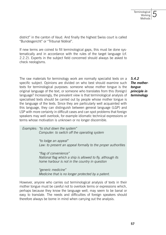district" in the canton of Vaud. And finally the highest Swiss court is called "Bundesgericht" or "Tribunal fédéral".

If new terms are coined to fill terminological gaps, this must be done systematically and in accordance with the rules of the target language (cf. 2.2.2). Experts in the subject field concerned should always be asked to check neologisms.

The raw materials for terminology work are normally specialist texts on a specific subject. Opinions are divided on who best should examine such texts for terminological purposes: someone whose mother tongue is the original language of the text, or someone who translates from this (foreign) language? Increasingly, the prevalent view is that terminological analysis of specialised texts should be carried out by people whose mother tongue is the language of the texts. Since they are particularly well acquainted with this language, they can distinguish between general language (LGP) and LSP with more certainty in difficult cases and can spot problems that foreign speakers may well overlook, for example idiomatic technical expressions or terms whose motivation is unknown or no longer discernible.

*5.4.2 The mothertongue principle in terminology*

*Examples: "to shut down the system" Computer: to switch off the operating system "to lodge an appeal" Law: to present an appeal formally to the proper authorities "flag of convenience" National flag which a ship is allowed to fly, although its home harbour is not in the country in question "generic medicine" Medicine that is no longer protected by a patent.* 

However, anyone who carries out terminological analysis of texts in their mother tongue must be careful not to overlook terms or expressions which, perhaps because they know the language well, may seem to be banal or easy to translate. The needs and difficulties of foreign speakers should therefore always be borne in mind when carrying out the analysis.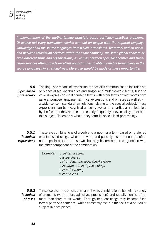

*Implementation of the mother-tongue principle poses particular practical problems. Of course not every translation service can call on people with the required language knowledge of all the source languages from which it translates. Teamwork and co-operation between translation services within the same company, the same global concern or even different firms and organisations, as well as between specialist centres and translation services often provide excellent opportunities to obtain reliable terminology in the source languages in a rational way. More use should be made of these opportunities.*

The linguistic means of expression of specialist communication includes not only specialised vocabularies and single- and multiple-word terms, but also various expressions that combine terms with other terms or with words from general purpose language: technical expressions and phrases as well as - in a wider sense – standard formulations relating to the special subject. These expressions can be recognised as being typical of a particular subject field by the fact that they are met particularly frequently or even solely in texts on this subject. Taken as a whole, they form its specialised phraseology. *5.5 Specialised phraseology*

These are combinations of a verb and a noun or a term based on preferred or established usage, where the verb, and possibly also the noun, is often not a specialist term on its own, but only becomes so in conjunction with the other component of the combination. *5.5.1 Technical expressions*

> *Examples: to tighten a screw to issue shares to shut down the (operating) system to institute criminal proceedings to launder money to coat a lens*

These too are more or less permanent word combinations, but with a variety of elements (verb, noun, adjective, preposition) and usually consist of no more than three to six words. Through frequent usage they become fixed formal parts of a sentence, which constantly recur in the texts of a particular subject like set pieces. *5.5.2 Technical phrases*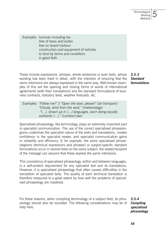*Examples: turnover including tax free of taxes and duties free on board harbour construction and equipment of vehicles to bind by terms and conditions in good faith* 

These include expressions, phrases, whole sentences or even texts, whose wording has been fixed in detail, with the intention of ensuring that the same intensions are always expressed in the same way. Well-known examples of this are the opening and closing forms of words of international agreements (with their translations) and the standard formulations of business contracts, statutory texts, weather forecasts, etc.

*5.5.3 Standard formulations*

*Examples: "Follow me!" // "Open the door, please!" (air transport) "Cloudy, wind from the west." (meteorology) "[...], drawn up in [...] languages, each being equally authentic [...]." (contract law)*

Specialised phraseology, like terminology, plays an extremely important part in specialist communication. The use of the correct specialised phraseologisms underlines the specialist nature of the texts and translations, creates confidence in the specialist reader, and specialist communication gains in reliability and efficiency. If, for example, the same specialised phraseologisms (technical expressions and phrases) or subject-specific standard formulations occur in several texts on the same subject, the reader/recipient of the message can assume that these express the same intensions.

This consistency of specialised phraseology, within and between languages, is a self-evident requirement for any specialist text and its translations. However, it is specialised phraseology that often causes difficulties in the translation of specialist texts. The quality of each technical translation is therefore measured to a great extent by how well the problems of specialised phraseology are mastered.

For these reasons, when compiling terminology of a subject field, its phraseology should also be recorded. The following considerations may be of help here:

*5.5.4 Compiling specialised phraseology*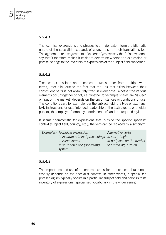#### *5.5.4.1*

The technical expressions and phrases to a major extent form the idiomatic nature of the specialist texts and, of course, also of their translations too. The agreement or disagreement of experts ("yes, we say that"; "no, we don't say that") therefore makes it easier to determine whether an expression or phrase belongs to the inventory of expressions of the subject field concerned.

#### *5.5.4.2*

Technical expressions and technical phrases differ from multiple-word terms, inter alia, due to the fact that the link that exists between their constituent parts is not absolutely fixed in every case. Whether the various elements occur together or not, i.e. whether for example shares are "issued" or "put on the market" depends on the circumstances or conditions of use. The conditions can, for example, be: the subject field, the type of text (legal text, instructions for use, intended readership of the text: experts or a wider public), the employer (company, administration) and the required style.

It seems characteristic for expressions that, outside the specific specialist context (subject field, country, etc.), the verb can be replaced by a synonym.

| Examples: Technical expression                    | Alternative verbs          |
|---------------------------------------------------|----------------------------|
| to institute criminal proceedings to start, begin |                            |
| to issue shares                                   | to put/place on the market |
| to shut down the (operating)                      | to switch off, turn off    |
| system                                            |                            |

#### *5.5.4.3*

The importance and use of a technical expression or technical phrase necessarily depends on the specialist context; in other words, a specialised phraseologism typically occurs in a particular subject field and belongs to its inventory of expressions (specialised vocabulary in the wider sense).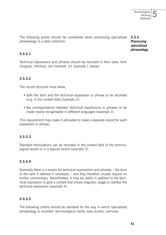The following points should be considered when processing specialised phraseology in a data collection: *5.5.5*

*Processing specialised phraseology*

#### *5.5.5.1*

Technical expressions and phrases should be recorded in their basic form (singular, infinitive, not inverted). (cf. example 1 below)

# *5.5.5.2*

The record structure must allow,

- both the term and the technical expression or phrase to be recorded (e.g. in the context field; Example 2);
- the correspondence between technical expressions or phrases to be made clearly recognisable in different languages (example 2).

This requirement may make it advisable to make a separate record for each expression or phrase.

# *5.5.5.3*

Standard formulations can be recorded in the context field of the terminological record or in a special record (example 3).

#### *5.5.5.4*

Generally there is a reason for technical expressions and phrases – the term or the verb is defined if necessary – and they therefore usually require no further commentary. Nevertheless, it may be useful in addition to the technical expression to give a context that shows linguistic usage or clarifies the technical expression (example 4).

# *5.5.5.5*

The following criteria should be standard for the way in which specialised phraseology is recorded: terminological clarity, easy access, overview.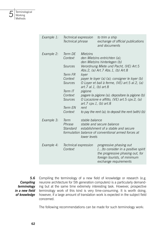

| Example 1: | Technical expression<br>Technical phrase                                                                              |                                                                                                                                                            | to trim a ship<br>exchange of official publications<br>and documents                                                                                                                                                                                                                                                                                                                                      |
|------------|-----------------------------------------------------------------------------------------------------------------------|------------------------------------------------------------------------------------------------------------------------------------------------------------|-----------------------------------------------------------------------------------------------------------------------------------------------------------------------------------------------------------------------------------------------------------------------------------------------------------------------------------------------------------------------------------------------------------|
| Example 2: | Term DF<br>Context<br>Sources<br>Term FR<br>Context<br>Sources<br>Term IT<br>Context<br>Sources<br>Term EN<br>Context | <b>Mietzins</b><br>lover<br>art. 7 al. 1, (b) art. 8<br>pigione<br>art.7 cpv.1, (b) art.8<br>rent                                                          | den Mietzins entrichten (a);<br>den Mietzins hinterlegen (b)<br>Verordnung Miete und Pacht, (VE) Art.5<br>Abs.2, (a) Art.7 Abs.1, (b) Art.8<br>payer le loyer (a) (a); consigner le loyer (b)<br>O Loyer et bail à ferme, (VE) art.5 al.2, (a)<br>pagare la pigione (a); depositare la pigione (b)<br>O Locazione e affitto, (VE) art.5 cpv.2, (a)<br>to pay the rent (a); to deposit the rent (with) (b) |
| Example 3: | Term<br>Phrase<br>Standard                                                                                            | stable balance<br>stable and secure balance<br>establishment of a stable and secure<br>formulation balance of conventional armed forces at<br>lower levels |                                                                                                                                                                                                                                                                                                                                                                                                           |
| Example 4: | Technical expression<br>Context                                                                                       |                                                                                                                                                            | progressive phasing out<br>[] to consider in a positive spirit<br>the progressive phasing out, for<br>foreign tourists, of minimum<br>exchange requirements                                                                                                                                                                                                                                               |

*Compiling terminology in a new field of knowledge*

Compiling the terminology of a new field of knowledge or research (e.g. neurone architecture for 5th generation computers) is a particularly demanding but at the same time extremely interesting task. However, prospective terminology work of this kind is very time-consuming. It is worth doing, however, if a large amount of translation work is expected in the subject field concerned. *5.6*

The following recommendations can be made for such terminology work: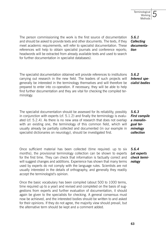*5.6.1 Collecting documenta-*

*tion*

*5.6.2 Interest specialist bodies*

The person commissioning the work is the first source of documentation and should be asked to provide texts and other documents. The texts, if they meet academic requirements, will refer to specialist documentation. These references will help to obtain specialist journals and conference reports; headwords will be extracted from already available texts and used to search for further documentation in specialist databases).

The specialist documentation obtained will provide references to institutions carrying out research in the new field. The leaders of such projects will generally be interested in the terminology themselves and will therefore be prepared to enter into co-operation. If necessary, they will be able to help find further documentation and they are vital for checking the compiled terminology.

The specialist documentation should be assessed for its reliability, possibly in conjunction with experts (cf. 5.1.2) and finally the terminology is evaluated (cf. 5.2.4). As there is no new area of research that does not overlap with an existing one, the terminology of this common field, which will usually already be partially collected and documented (in our example in specialist dictionaries on neurology), should be investigated first.

Once sufficient material has been collected (time required: up to six months), the provisional terminology collection can be shown to experts for the first time. They can check that information is factually correct and will suggest changes and additions. Experience has shown that many terms used by experts do not comply with the language rules. Scientists are not usually interested in the details of orthography, and generally they readily accept the terminologist's opinion.

Once the basic vocabulary has been compiled (about 500 to 1000 terms, time required up to a year) and revised and completed on the basis of suggestions from experts and further evaluation of documentation, it should again be given to the specialists for checking. A general consensus must now be achieved, and the interested bodies should be written to and asked for their opinions. If they do not agree, the majority view should prevail, but the alternative term should be kept and a comment added.

*5.6.3 First compile a monolin-*

*gual terminology collection*

*5.6.4 Let experts check terminology*

*5*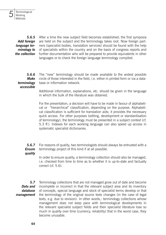*5.6.5 Add foreign language terminology to the collection* 

After a time the new subject field becomes established; the first symposia are held on the subject and the terminology takes root. Now foreign partners (specialist bodies, translation services) should be found with the help of specialists within the country and on the basis of congress reports and further documentation who will be prepared to provide equivalents in other languages or to check the foreign language terminology compiled.

#### The "new" terminology should be made available to the widest possible circle of those interested in the field, i.e. either in printed form or via a database or information network. *5.6.6 Make terminology accessible*

Additional information, explanations, etc. should be given in the language in which the bulk of the literature was obtained.

For the presentation, a decision will have to be made in favour of alphabetical or "hierarchical" classification, depending on the purpose. Alphabetical classification is sufficient for translation aids; it provides the necessary quick access. For other purposes (editing, development or standardisation of terminology), the terminology must be presented in a subject context (cf. 5.3 ff.). Indexes for each working language can also speed up access in systematic specialist dictionaries.

For reasons of quality, two terminologists should always be entrusted with a terminology project of this kind if at all possible. *5.6.7 Ensure*

#### *quality*

In order to ensure quality, a terminology collection should also be managed, i.e. checked from time to time as to whether it is up-to-date and factually correct (cf. 5.6).

Terminology collections that are not managed grow out of date and become incomplete or incorrect in that the relevant subject area and its inventory of concepts, special language and stock of specialist terms develop or that the terminology of the original source texts changes (in the case of legal texts, e.g. due to revision). In other words,: terminology collections whose management does not keep pace with terminological developments in the relevant specialist subject fields and their specialist literature lose so much in quality over time (currency, reliability) that in the worst case, they become unusable. *5.7 Data and database management*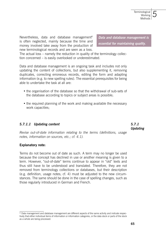Nevertheless, data and database management<sup>6</sup> is often neglected, mainly because the time and money involved take away from the production of new terminological records and are seen as a loss.

*Data and database management is essential for maintaining quality.*

The actual loss – namely the reduction in quality of the terminology collection concerned – is easily overlooked or underestimated.

Data and database management is an ongoing task and includes not only updating the content of collections, but also supplementing it, removing duplicates, correcting erroneous records, editing the form and adapting information (e.g. to new spelling rules). The essential prerequisites for being able to undertake the task at all are:

- the organisation of the database so that the withdrawal of sub-sets of the database according to topics or subject areas is possible;
- the required planning of the work and making available the necessary work capacities;

#### *5.7.1.1 Updating content*

*5.7.1 Updating*

*Revise out-of-date information relating to the terms (definitions, usage notes, information on sources, etc.; cf. 4.1).*

#### **Explanatory note:**

Terms do not become out of date as such. A term may no longer be used because the concept has declined in use or another meaning is given to a term. However, "out-of-date" terms continue to appear in "old" texts and thus still have to be understood and translated. Therefore, they are not removed from terminology collections or databases, but their description (e.g. definition, usage notes; cf. 4) must be adjusted to the new circumstances. The same should be done in the case of spelling changes, such as those regularly introduced in German and French.

<sup>&</sup>lt;sup>6)</sup> Data management and database management are different aspects of the same activity and indicate respectively that either individual items of information or information categories, or the data stock or parts of the stock as a whole are being processed.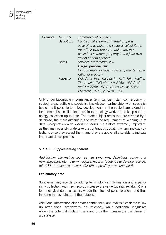

| Example: | Term EN<br>Definition: | community of property<br>Contractual system of marital property<br>according to which the spouses select items<br>from their own property, which are then<br>pooled as common property in the joint own-<br>ership of both spouses. |
|----------|------------------------|-------------------------------------------------------------------------------------------------------------------------------------------------------------------------------------------------------------------------------------|
|          | Notes:                 | Subject: matrimonial law<br>Usage: previous law                                                                                                                                                                                     |
|          |                        | Cf.: community property system, marital sepa-<br>ration of property                                                                                                                                                                 |
|          | Sources:               | (VE) After Swiss Civil Code, Sixth Title, Section<br>Three, title, (DF) after Art.215ff. (BS 2 40)<br>and Art.225ff. (BS 2 42) as well as Keller,<br>Eherecht, 1973, p.147ff., 158                                                  |

Only under favourable circumstances (e.g. sufficient staff, connection with subject area, sufficient specialist knowledge, partnership with specialist bodies) is it possible to follow developments in the subject areas (and the fundamental specialist literature) in terminology work and to keep a terminology collection up to date. The more subject areas that are covered by a database, the more difficult it is to meet the requirement of keeping up to date. Co-operation with specialist bodies is therefore extremely important, as they may possibly undertake the continuous updating of terminology collections once they accept them, and they are above all also able to indicate important developments.

# *5.7.1.2 Supplementing content*

*Add further information such as new synonyms, definitions, contexts or new languages, etc. to terminological records (continue to develop records; (cf. 4.3) or make new records (for other, possibly new concepts)).*

#### **Explanatory note:**

Supplementing records by adding terminological information and expanding a collection with new records increase the value (quality, reliability) of a terminological data collection, widen the circle of possible users, and thus increase the usefulness of the database.

Additional information also creates confidence, and makes it easier to follow up attributions (synonymity, equivalence), while additional languages widen the potential circle of users and thus the increase the usefulness of a database.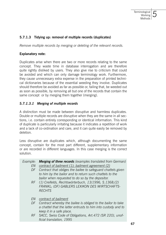#### **5.7.1.3 Tidying up: removal of multiple records (duplicates)**

*Remove multiple records by merging or deleting of the relevant records.*

#### **Explanatory note:**

Duplicates arise when there are two or more records relating to the same concept. They waste time in database interrogation and are therefore quite rightly disliked by users. They also give rise to criticism that could be avoided and which can only damage terminology work. Furthermore, they cause unnecessary extra expense in the preparation of printed technical dictionaries because of the essential weeding they involve. Duplicates should therefore be avoided as far as possible or, failing that, be weeded out as soon as possible, by removing all but one of the records that contain the same concept or by merging them together (merging).

#### *5.7.1.3.1 Merging of multiple records*

A distinction must be made between disruptive and harmless duplicates. Double or multiple records are disruptive when they are the same in all sections, i.e. contain entirely corresponding or identical information. This kind of duplicate is particularly irritating because it indicates a repetition of work and a lack of co-ordination and care, and it can quite easily be removed by deletion.

Less disruptive are duplicates which, although documenting the same concept, contain for the most part different, supplementary information or are recorded in different languages. In this case merging is the correct solution.

| Example: | <b>Merging of three records</b> (examples translated from German) |
|----------|-------------------------------------------------------------------|
| EN       | contract of bailment (1); bailment agreement (2)                  |
| DF       | Contract that obliges the bailee to safeguard chattels given      |
|          | to him by the bailor and to return such chattels to the           |
|          | bailor when requested to do so by the depositor.                  |
|          | RF (1) Creifelds, Rechtswörterbuch, 13/1996, S.1368;(2)           |
|          | FRANKL; (DF) GABLERS LEXIKON DES WIRTSCHAFTS-                     |
|          | <b>RFCHTS</b>                                                     |
|          |                                                                   |
| FN.      | contract of bailment                                              |
| DF       | Contract whereby the bailee is obliged to the bailor to take      |
|          | a chattel that the latter entrusts to him into custody and to     |
|          | keep it in a safe place.                                          |
| RF -     | SACC, Swiss Code of Obligations, Art. 472 (SR 220), unof-         |
|          | ficial translation, 1995                                          |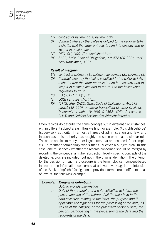

- *EN contract of bailment (1); bailment (2)*
- *DF Contract whereby the bailee is obliged to the bailor to take a chattel that the latter entrusts to him into custody and to keep it in a safe place.*
- *NT REG: CH; USG: (2) usual short form*
- *RF SACC, Swiss Code of Obligations, Art.472 (SR 220), unofficial translation, 1995*

#### *Result of merging:*

- *EN contract of bailment (1); bailment agreement (2); bailment (3)*
- *DF Contract whereby the bailee is obliged to the bailor to take a chattel that the latter entrusts to him into custody and to keep it in a safe place and to return it to the bailor when requested to do so.*
- *PS (1) (3) CH, (1) (2) DE*
- *NT USG: (3) usual short form*
- *RF (1) (3) after SACC, Swiss Code of Obligations, Art.472 para.1 (SR 220), unofficial translation; (2) after Creifelds, Rechtswörterbuch, 13/1996, S.1368; (DF) after source (1)(3) and Gablers Lexikon des Wirtschaftsrechts*

Often records do describe the same concept but in different circumstances, e.g. in different subject areas. Thus we find, for example, "Aufsichtsbehörde" (supervisory authority) in almost all areas of administration and law, and in each case this authority has roughly the same or at least a similar role. The same applies to many other legal terms that are recorded, for example, e.g. in thematic terminology works that fully cover a subject area. In this case, one must check whether the records concerned should be merged by recording the concept at a higher abstraction level – specific concepts of the deleted records are included, but not in the original definition. The criterion for the decision on such a procedure is the terminological, concept-based interest in the information concerned at a lower level (e.g. in the intension of the "Auskunftspflicht" (obligation to provide information) in different areas of law; cf. the following example).

#### *Example: Merging of definitions*

 *Duty to provide information*

*a) Duty of the proprietor of a data collection to inform the person affected of the nature of all the data held in the data collection relating to the latter, the purpose and if applicable the legal basis for the processing of the data, as well as of the category of the processed personal data, the persons participating in the processing of the data and the recipients of the data.*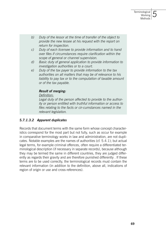- *b) Duty of the lessor at the time of transfer of the object to provide the new lessee at his request with the report on return for inspection.*
- *c) Duty of each licensee to provide information and to hand over files if circumstances require clarification within the scope of general or channel supervision.*
- *d) Basic duty of general application to provide information to investigation authorities or to a court.*
- *e) Duty of the tax payer to provide information to the tax authorities on all matters that may be of relevance to his liability to pay tax or to the computation of taxable amount or of the tax payable.*

#### *Result of merging:*

#### *Definition:*

 *Legal duty of the person affected to provide to the authority or person entitled with truthful information or access to files relating to the facts or cir-cumstances named in the relevant legislation.*

# *5.7.1.3.2 Apparent duplicates*

Records that document terms with the same form whose concept characteristics correspond for the most part but not fully, such as occur for example in comparative terminology works in law and administration, are not duplicates. Notable examples are the names of authorities (cf. 5.4.1); but actual legal terms, for example criminal offences, often require a differentiated terminological description (if necessary in separate records), because although they may be termed the same in different countries, they are judged differently as regards their gravity and are therefore punished differently . If these terms are to be used correctly, the terminological records must contain the relevant information (in addition to the definition, above all, indications of region of origin or use and cross-references).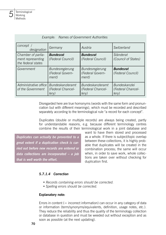| concept /<br>designation                                      | Germany                                                     | Austria                                                     | Switzerland                                              |
|---------------------------------------------------------------|-------------------------------------------------------------|-------------------------------------------------------------|----------------------------------------------------------|
| Chamber of parlia-<br>ment representing<br>the federal states | <b>Bundesrat</b><br>(Federal Council)                       | <b>Bundesrat</b><br>(Federal Council)                       | Ständerat<br>(Council of States)                         |
| Government                                                    | Bundesregierung<br>(Federal Govern-<br>ment)                | <b>Bundesregierung</b><br>(Federal Govern-<br>ment)         | <b>Bundesrat</b><br>(Federal Council)                    |
| Administrative office<br>of the Government                    | <b>Bundeskanzleramt</b><br>(Federal Chancel-<br>$ $ erv $)$ | <b>Bundeskanzleramt</b><br>(Federal Chancel-<br>$ $ erv $)$ | <b>Bundeskanzlei</b><br>(Federal Chancel-<br>$ $ erv $)$ |

#### *Example: Names of Government Authorities*

Disregarded here are true homonyms (words with the same form and pronunciation but with different meanings), which must be recorded and described separately according to the terminological rule "a record for each concept".

Duplicates (double or multiple records) are always being created, partly for understandable reasons, e.g. because different terminology centres combine the results of their terminological work in a joint database and

*Duplicates can actually be prevented to a great extent if a duplication check is carried out before new records are entered or data collections are incorporated – a job that is well worth the effort.*

want to have them stored and processed as a whole. If there is subject/topic overlap between these collections, it is highly probable that duplicates will be created in the combination process; the same will occur when, in order to save work, whole collections are taken over without checking for duplication first.

#### *5.7.1.4 Correction*

- *Records containing errors should be corrected.*
- *Spelling errors should be corrected.*

#### **Explanatory note:**

Errors in content  $(=$  incorrect information) can occur in any category of data or information (term/synonyms/equivalents, definition, usage notes, etc.). They reduce the reliability and thus the quality of the terminology collection or database in question and must be weeded out without exception and as soon as possible (at the next updating).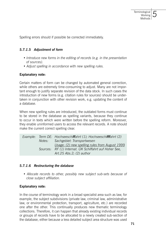Spelling errors should if possible be corrected immediately.

#### *5.7.1.5 Adjustment of form*

- *Introduce new forms in the editing of records (e.g. in the presentation of sources).*
- *Adjust spelling in accordance with new spelling rules.*

#### **Explanatory note:**

Certain matters of form can be changed by automated general correction, while others are extremely time-consuming to adjust. Many are not important enough to justify separate revision of the data stock. In such cases the introduction of new forms (e.g. citation rules for sources) should be undertaken in conjunction with other revision work, e.g. updating the content of a database.

When new spelling rules are introduced, the outdated forms must continue to be stored in the database as spelling variants, because they continue to occur in texts which were written before the spelling reform. Moreover, they enable uninformed users to access the relevant records. A note should make the current correct spelling clear.

|  | Example: Term DE: Hochseeschiffahrt (1); Hochseeschifffahrt (2) |
|--|-----------------------------------------------------------------|
|  | Notes: Sachgebiet: Transportwesen                               |
|  | Usage: (2) new spelling rules from August 1999                  |
|  | Sources: RF (1) Internat. ÜK Schiffahrt auf Hoher See,          |
|  | Art.25 Abs.2; $(2)$ author                                      |

#### *5.7.1.6 Restructuring the database*

*• Allocate records to other, possibly new subject sub-sets because of close subject affiliation.*

#### **Explanatory note:**

In the course of terminology work in a broad specialist area such as law, for example, the subject subdivisions (private law, criminal law, administrative law, or environmental protection, transport, agriculture, etc.) are recorded one after the other. This continually produces new thematic terminology collections. Therefore, it can happen that already existing individual records or groups of records have to be allocated to a newly created sub-section of the database, either because a less detailed subject area structure was used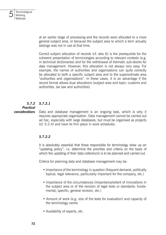

at an earlier stage of processing and the records were allocated to a more general subject area, or because the subject area to which a term actually belongs was not in use at that time.

Correct subject allocation of records (cf. also 6) is the prerequisite for the coherent presentation of terminologies according to relevant contexts (e.g. in technical dictionaries) and for the withdrawal of thematic sub-stocks for data management. However, this allocation is not always very easy. For example, the names of authorities and organisations can quite correctly be allocated to both a specific subject area and to the superordinate area "authorities and organisations". In these cases, it is an advantage if the record format allows dual allocations (subject area and topic: customs and authorities, tax law and authorities).

#### *5.7.2.1 5.7.2*

#### *Practical*

*considerations*

Data and database management is an ongoing task, which is why it requires appropriate organisation. Data management cannot be carried out ad hoc, especially with large databases, but must be organised as projects (cf. 5.2.4) and have its firm place in work schedules.

#### *5.7.2.2*

It is absolutely essential that those responsible for terminology draw up an "updating policy", i.e. determine the priorities and criteria on the basis of which the updating of their data collection/s is to be planned and carried out.

Criteria for planning data and database management may be:

- Importance of the terminology in question (frequent demand, politically topical, legal relevance, particularly important for the company, etc.)
- Importance of the circumstances (importance/extent of innovations in the subject area or of the revision of legal texts or standards: fundamental, specific, general revision, etc.)
- Amount of work (e.g. size of the texts for evaluation) and capacity of the terminology centre
- Availability of experts, etc.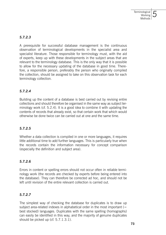# *5.7.2.3*

A prerequisite for successful database management is the continuous observation of terminological developments in the specialist area and specialist literature. Those responsible for terminology must, with the aid of experts, keep up with these developments in the subject areas that are relevant to the terminology database. This is the only way that it is possible to allow for the necessary updating of the database in good time. Therefore, a responsible person, preferably the person who originally compiled the collection, should be assigned to take on this observation task for each terminology collection.

# *5.7.2.4*

Building up the content of a database is best carried out by revising entire collections and should therefore be organised in the same way as subject terminology work (cf. 5.2.4). It is a good idea to combine it with updating the contents of records that already exist, so that certain work that which would otherwise be done twice can be carried out at one and the same time.

# *5.7.2.5*

Whether a data collection is compiled in one or more languages, it requires little additional time to add further languages. This is particularly true when the records contain the information necessary for concept comparison (especially the definition and subject area).

# *5.7.2.6*

Errors in content or spelling errors should not occur often in reliable terminology work (the records are checked by experts before being entered into the database). They can therefore be corrected ad hoc, and should not be left until revision of the entire relevant collection is carried out.

# *5.7.2.7*

The simplest way of checking the database for duplicates is to draw up subject area-related indexes in alphabetical order in the most important  $(=$ best stocked) languages. Duplicates with the same spelling (homographs) can easily be identified in this way, and the majority of genuine duplicates should be picked up (cf. 5.7.1.3.1).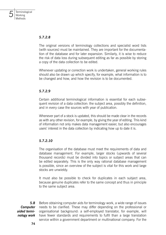## *5.7.2.8*

The original versions of terminology collections and specialist word lists (with sources) must be maintained. They are important for the documentation of the database and for later expansion. Similarly, it is wise to reduce the risk of data loss during subsequent editing as far as possible by storing a copy of the data collection to be edited.

Whenever updating or correction work is undertaken, general working rules should also be drawn up which specify, for example, what information is to be changed and how, and how the revision is to be documented.

# *5.7.2.9*

Certain additional terminological information is essential for each subsequent revision of a data collection: the subject area, possibly the definition, and in every case the sources with year of publication.

Whenever part of a stock is updated, this should be made clear in the records as with any other revision, for example, by giving the year of editing. This kind of information not only makes data management easier, but also encourages users' interest in the data collection by indicating how up to date it is.

### *5.7.2.10*

The organisation of the database must meet the requirements of data and database management. For example, larger stocks (upwards of several thousand records) must be divided into topics or subject areas that can be edited separately. This is the only way rational database management is possible, since an overview of the subject is vital for this work and large stocks are unwieldy.

It must also be possible to check for duplicates in each subject area, because genuine duplicates refer to the same concept and thus in principle to the same subject area.

Before obtaining computer aids for terminology work, a wide range of issues needs to be clarified. These may differ depending on the professional or organisational background: a self-employed translator, for example, will have fewer standards and requirements to fulfil than a large translation service within a government department or multinational company. For the *5.8 Computer aided terminology work*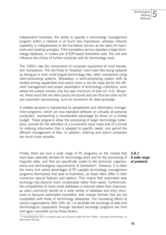independent translator, the ability to operate a terminology management program within a network is of much less importance, whereas network capability is indispensable to the translation service as the basis for teamwork and creating synergies. If the translation service operates a large terminology database, or makes use of EDP-based translation aids, this will also influence the choice of further computer aids for terminology work.

The 1990's saw the introduction of computer equipment at most translators' workplaces. This led firstly to "shoebox" card index files being replaced by bilingual or even multi-lingual terminology lists, often maintained using word-processing systems. Nowadays, a word-processing system with its limited sorting capabilities and search tools is not the ideal aid for the efficient management and proper exploitation of terminology collections, even where the entries contain only the bare minimum of data (cf. 4.6). Moreover, these word lists are often poorly structured and can thus be ruled out for any automatic reprocessing, such as conversion for data exchange.

A notable advance is represented by spreadsheet and information management programs, which are now standard software on virtually all personal computers, representing a considerable advantage for those on a limited budget. These programs allow the processing of larger terminology collections, provide for the definition of a convenient input mask and of a format for entering information that is adapted to specific needs, and permit the efficient management of files. In addition, entering and search processes are much more versatile.

Finally, there are now a wide range of PC programs on the market that have been specially devised for terminology work and for the processing of linguistic data, and that are specifically suited to the technical, organisational and terminological requirements of translation<sup>9</sup>. However, it is often the many and varied advantages of PC capable terminology management programs themselves that lead to frustration, as these often differ in their numerous special features and options. This means that automated data exchange has become more complicated rather than easier. Furthermore, the compatibility of many small databases is reduced rather than improved, as users commonly decide on a wide variety of database and entry structures or because automated translation aids impose formats that are not compatible with those of terminology databases. The increasing efforts of various organisations (ISO, DIN, etc.) to facilitate the exchange of data and terminological cooperation through standard exchange programs are time and again cancelled out by these factors.

*5.8.1 A wide range of products*

<sup>9)</sup> A comprehensive list of computer aids can be found under the link "Outils / Inventaire terminotique" at http://www.rifal.org.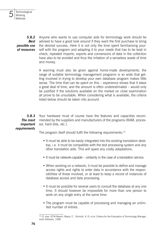*5.8.2 Best possible use of resources*

Anyone who wants to use computer aids for terminology work should be advised to have a good look around if they want the first purchase to bring the desired success. Here it is not only the time spent familiarising yourself with the program and adapting it to your needs that has to be kept in check; repeated imports, exports and conversions of data in the collection have also to be avoided and thus the irritation of a senseless waste of time and money.

A warning must also be given against home-made developments: the range of suitable terminology management programs is so wide that getting involved in trying to develop your own database program makes little sense. The time that can be spent on this – experience shows that it takes a great deal of time, and the amount is often underestimated – would only be justified if the solutions available on the market on close examination all prove to be unsuitable. When considering what is available, the criteria listed below should be taken into account.

Your hardware must of course have the features and capacities recommended by the suppliers and manufacturers of the programs (RAM, processor, hard disk, etc.). *5.8.3 The most important* 

# *requirements*

The program itself should fulfil the following requirements: $10$ 

- It must be able to be easily integrated into the existing translation desktop, i.e. it must be compatible with the text processing system and any other translation aids. This will spare any costly adaptations.
- It must be network-capable certainly in the case of a translation service.
- When working on a network, it must be possible to define and manage access rights and rights to enter data in accordance with the responsibilities of those involved, or at least to keep a record of instances of database access and data processing.
- It must be possible for several users to consult the database at any one time. It should however be impossible for more than one person to work on any single entry at the same time.
- The program must be capable of processing and managing an unlimited number of entries.

<sup>&</sup>lt;sup>10)</sup> Cf. also: GTW-Report: Mayer, F.; Schmitz, K.-D. et al: Criteria for the Evaluation of Terminology Management Software, 1996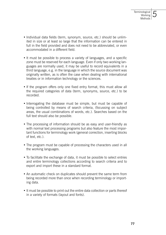- Individual data fields (term, synonym, source, etc.) should be unlimited in size or at least so large that the information can be entered in full in the field provided and does not need to be abbreviated, or even accommodated in a different field.
- It must be possible to process a variety of languages, and a specific zone must be reserved for each language. Even if only two working languages are normally used, it may be useful to record equivalents in a third language, e.g. in the language in which the source document was originally written, as is often the case when dealing with international treaties or in information technology or the sciences.
- If the program offers only one fixed entry format, this must allow all the required categories of data (term, synonyms, source, etc.) to be recorded.
- Interrogating the database must be simple, but must be capable of being controlled by means of search criteria, (focussing on subject areas, the usual combinations of words, etc.). Searches based on the full text should also be possible.
- The processing of information should be as easy and user-friendly as with normal text processing programs but also feature the most important functions for terminology work (general correction, inserting blocks of text, etc.).
- The program must be capable of processing the characters used in all the working languages.
- To facilitate the exchange of data, it must be possible to select entries and entire terminology collections according to search criteria and to export and import these in a standard format.
- An automatic check on duplicates should prevent the same term from being recorded more than once when recording terminology or importing data.
- It must be possible to print out the entire data collection or parts thereof in a variety of formats (layout and fonts).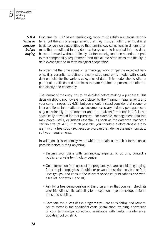

*5.8.4 What to consider before buying*

Programs for EDP based terminology work must satisfy numerous test criteria, but there is one requirement that they must all fulfil: they must offer basic conversion capabilities so that terminology collections in different formats that are offered in any data exchange can be imported into the database and saved without difficulty. Unfortunately, too little attention is paid to this compatibility requirement, and this all too often leads to difficulty in data exchange and in terminological cooperation.

In order that the time spent on terminology work brings the expected benefits, it is essential to define a clearly structured entry model with clearly defined fields for the various categories of data. This model should offer or permit all the fields and sub-fields that are required to present the information clearly and coherently.

The format of the entry has to be decided before making a purchase. This decision should not however be dictated by the minimum requirements and your current needs (cf. 4.3), but you should instead consider that sooner or later additional information may become necessary that you perhaps record only occasionally at the moment and in a makeshift manner in a field not specifically provided for that purpose – for example, management data that may prove useful, or indeed essential, as soon as the database reaches a certain size (cf. 4.2). If at all possible, you should therefore choose a program with a free structure, because you can then define the entry format to suit your requirements.

In addition, it is extremely worthwhile to obtain as much information as possible before buying anything:

- Discuss your plans with terminology experts. To do this, contact a public or private terminology centre.
- Get information from users of the programs you are considering buying, for example employees of public or private translation services or from user groups, and consult the relevant specialist publications and websites (cf. Annexes II and III).
- Ask for a free demo-version of the program so that you can check its user-friendliness, its suitability for integration in your desktop, its functions and stability.
- Compare the prices of the programs you are considering and remember to factor in the additional costs (installation, training, conversion of your terminology collection, assistance with faults, maintenance, updating policy, etc.).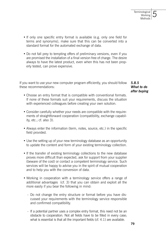- If only one specific entry format is available (e.g. only one field for terms and synonyms), make sure that this can be converted into a standard format for the automated exchange of data.
- Do not fall prey to tempting offers of preliminary versions, even if you are promised the installation of a final version free of charge. The desire always to have the latest product, even when this has not been properly tested, can prove expensive.

If you want to use your new computer program efficiently, you should follow these recommendations:

*5.8.5 What to do after buying*

- Choose an entry format that is compatible with conventional formats. If none of these formats suit your requirements, discuss the situation with experienced colleagues before creating your own solution.
- Consider carefully whether your needs are compatible with the requirements of straightforward cooperation (compatibility, exchange capability, etc.; cf. also 3).
- Always enter the information (term, notes, source, etc.) in the specific field provided.
- Use the setting up of your new terminology database as an opportunity to update the content and form of your existing terminology collection.
- If the transfer of existing terminology collections to the new database proves more difficult than expected, ask for support from your supplier (beware of the cost) or contact a competent terminology service. Such services will be happy to advise you in the spirit of mutual cooperation and to help you with the conversion of data.
- Working in cooperation with a terminology service offers a range of additional advantages (cf. 3) that you can obtain and exploit all the more easily if you bear the following in mind:
	- Do not change the entry structure or format before you have discussed your requirements with the terminology service responsible and confirmed compatibility.
	- If a potential partner uses a complex entry format, this need not be an obstacle to cooperation. Not all fields have to be filled in every case; what is essential is that all the important fields (cf. 4.1) are available.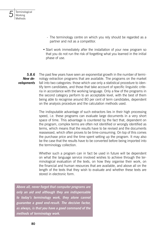

• Start work immediately after the installation of your new program so that you do not run the risk of forgetting what you learned in the initial phase of use.

The past few years have seen an exponential growth in the number of terminology extraction programs that are available. The programs on the market fall into two categories: those which use only a statistical procedure to identify term candidates, and those that take account of specific linguistic criteria in accordance with the working language. Only a few of the programs in the second category perform to an acceptable level, with the best of them being able to recognise around 80 per cent of term candidates, dependent on the analysis procedure and the calculation methods used. *5.8.6 New developments*

> The indisputable advantage of such extractors lies in their high processing speed, i.e. these programs can evaluate large documents in a very short space of time. This advantage is countered by the fact that, dependent on the program, complex terms are often not identified or wrongly identified as terms, which means that the results have to be revised and the documents reassessed, which often proves to be time-consuming. On top of this comes the purchase price and the time spent setting up the program. It may also be the case that the results have to be converted before being imported into the terminology collection.

> Whether such a program can in fact be used in future will be dependent on what the language service involved wishes to achieve through the terminological evaluation of the texts, on how they organise their work, on the financial and human resources that are available, and above all on the length of the texts that they wish to evaluate and whether these texts are stored in electronic form.

*Above all, never forget that computer programs are only an aid and although they are indispensable to today's terminology work, they alone cannot guarantee a good end-result. The decisive factor, as always, is that you have a good command of the methods of terminology work.* 

*5*

**Terminological** Working Methods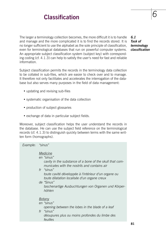# **Classification** *6*

The larger a terminology collection becomes, the more difficult it is to handle and manage and the more complicated it is to find the records stored. It is no longer sufficient to use the alphabet as the sole principle of classification, even for terminological databases that run on powerful computer systems. An appropriate subject classification system (subject key) with corresponding coding (cf. 4.1.3) can help to satisfy the user's need for fast and reliable information.

Subject classification permits the records in the terminology data collection to be collated in sub-files, which are easier to check over and to manage. It therefore not only facilitates and accelerates the interrogation of the database but also serves many purposes in the field of data management:

- updating and revising sub-files
- systematic organisation of the data collection
- production of subject glossaries
- exchange of data in particular subject fields.

Moreover, subject classification helps the user understand the records in the database. He can use the subject field reference on the terminological records (cf. 4.1.3) to distinguish quickly between terms with the same written form (homographs).

| Example: | "sinus"                                                                                                                                                                                                                                                                                                                                 |    |
|----------|-----------------------------------------------------------------------------------------------------------------------------------------------------------------------------------------------------------------------------------------------------------------------------------------------------------------------------------------|----|
|          | Medicine<br>en "sinus"<br>cavity in the substance of a bone of the skull that com-<br>municates with the nostrils and contains air<br>fr "sinus"<br>toute cavité développée à l'intérieur d'un organe ou<br>toute dilatation localisée d'un organe creux<br>de "Sinus"<br>taschenartige Ausbuchtungen von Organen und Körper-<br>höhlen |    |
|          | Botany<br>en "sinus"<br>opening between the lobes in the blade of a leaf<br>fr "sinus"<br>déoupures plus ou moins profondes du limbe des<br>feuilles                                                                                                                                                                                    |    |
|          |                                                                                                                                                                                                                                                                                                                                         | 81 |

### *6.1 Task of terminology classification*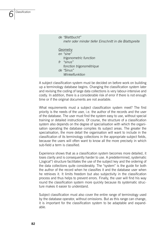Classification

*6*

 *de "Blattbucht" mehr oder minder tiefer Einschnitt in die Blattspreite Geometry en "sine" trigonometric function fr "sinus" fonction trigonométrique de "Sinus" Winkelfunktion* 

A subject classification system must be decided on before work on building up a terminology database begins. Changing the classification system later and revising the coding of large data collections is very labour-intensive and costly. In addition, there is a considerable risk of error if there is not enough time or if the original documents are not available.

What requirements must a subject classification system meet? The first priority is the needs of the user, i.e. the author of the records and the user of the database. The user must find the system easy to use, without special training or detailed instructions. Of course, the structure of a classification system also depends on the degree of specialisation with which the organisation operating the database compiles its subject areas. The greater the specialisation, the more detail the organisation will want to include in the classification of its terminology collections in the appropriate subject fields, because the users will often want to know all the more precisely in which sub-field a term is classified.

Experience shows that as a classification system becomes more detailed, it loses clarity and is consequently harder to use. A predetermined, systematic ("logical") structure facilitates the use of the subject key and the ordering of the data collections quite considerably. The "system" is the guide for both the author of the record when he classifies it and the database user when he retrieves it. It limits freedom but also subjectivity in the classification process and thus helps to prevent errors. Finally, the user will find his way round the classification system more quickly because its systematic structure makes it easier to understand.

Subject classification must also cover the entire range of terminology used by the database operator, without omissions. But as this range can change, it is important for the classification system to be adaptable and expandable.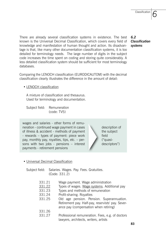*6*

There are already several classification systems in existence. The best known is the Universal Decimal Classification, which covers every field of knowledge and manifestation of human thought and action. Its disadvantage is that, like many other documentation classification systems, it is too detailed for terminology needs. The large number of digits in the subject code increases the time spent on coding and storing quite considerably. A less detailed classification system should be sufficient for most terminology databases.

Comparing the LENOCH classification (EURODICAUTOM) with the decimal classification clearly illustrates the difference in the amount of detail:

#### • LENOCH classification

A mixture of classification and thesaurus. Used for terminology and documentation.

Subject field: Remuneration (code: TV5)

wages and salaries - other forms of remuneration - continued wage payment in cases of illness & accident - methods of payment - rewards – types of payment: piece work pay, monthly pay, royalties, tips, etc. – persons with two jobs - pensions – interest payments - retirement pensions

# • Universal Decimal Classification

Subject field: Salaries. Wages. Pay. Fees. Gratuities. (Code: 331.2)

- 331.21 Wage payment. Wage administration
- 331.22 Types of wages. Wage systems. Additional pay
- 331.23 Types and methods of remuneration
- 331.24 Profit-sharing. Royalties
- 331.25 Old age pension. Pension. Superannuation. Retirement pay. Half-pay, reservists' pay. Severance pay (compensation when retiring)
- 331.26
- 331.27 Professional remuneration. Fees, e.g. of doctors lawyers, architects, writers, artists

## *6.2 Classification systems*

description of the subject field ("quasidescriptors")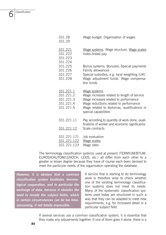*6*

| 331.28<br>331.29                                              | Wage budget. Organisation of wages                                                                                                                                                                                    |
|---------------------------------------------------------------|-----------------------------------------------------------------------------------------------------------------------------------------------------------------------------------------------------------------------|
| 331.221<br>331.222<br>331.223<br>331.224                      | Wage systems. Wage structure. Wage scales<br>Index-linked pay                                                                                                                                                         |
| 331.225<br>331.226<br>331.227<br>331.228                      | Bonus systems. Bonuses. Special payments<br>Family allowances<br>Special subsidies, e.g. local weighting (UK)<br>Wage adjustment funds. Wage compensa-<br>tion funds                                                  |
| 331.221.1<br>331.221.2<br>331.221.3<br>331.221.4<br>331.221.5 | Wage systems<br>Wage increases related to length of service<br>Wage increases related to performance<br>Wage reductions related to performance<br>Wage related to diplomas, qualifications or<br>special capabilities |
| 331.221.11                                                    | Pay according to quantity of work done, quali-<br>fications of worker and economic significance                                                                                                                       |
| 331.221.12                                                    | Scale contracts                                                                                                                                                                                                       |
| 331.221.121<br>331.221.122<br>331.221.123                     | Job evaluation<br>Wage scales<br>Wage rates                                                                                                                                                                           |

The terminology classification systems used at present (TERMIUM/BTUM, EURODICAUTOM/LENOCH, LEXIS, etc.) all differ from each other to a greater or lesser degree because they have of course each been devised to meet the particular needs of the organisation operating the database..

*However, it is obvious that a common classification system facilitates terminological cooperation, and in particular the exchange of data, because it obviates the need to recode the subject fields, which in certain circumstances can be too timeconsuming, if not totally impossible.*

A service that is starting to do terminology work is therefore wise to check whether one of the existing terminology classification systems does not meet its needs. Many of the systematic classification systems used today are structured in such a way that they can be adapted to meet new requirements, e.g. for increased detail in a particular subject field.

If several services use a common classification system, it is essential that they make any adjustments together. If one of them goes it alone, there is a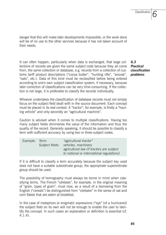*6*

danger that this will make later developments impossible, or the work done will be of no use to the other services because it has not taken account of their needs.

It can often happen, particularly when data is exchanged, that large collections of records are given the same subject code because they all come from, the same collection or database, e.g. records from a collection of customs tariff product descriptions ("cocoa butter", "hunting rifle", "anorak", "oats", etc.). Data of this kind must be reclassified before being entered according to one's own subject classification system, if necessary, because later correction of classifications can be very time-consuming. If the collection is not large, it is preferable to classify the records individually.

*6.3 Practical classification problems*

Whoever undertakes the classification of database records must not simply focus on the subject field dealt with in the source document. Each concept must be placed in its real context. A "tractor", for example, is firstly a "hauling vehicle" and only secondly an "agricultural machine".

Caution is advised when it comes to multiple classifications. Having too many subject fields diminishes the value of the information and thus the quality of the record. Generally speaking, it should be possible to classify a term with sufficient accuracy by using two or three subject codes.

| Example: Term: |                 | "agricultural tractor"                    |
|----------------|-----------------|-------------------------------------------|
|                | Subject fields: | vehicles, machinery                       |
|                |                 | agricultural law (if tractors are subject |
|                |                 | to national or international regulations) |

If it is difficult to classify a term accurately because the subject key used does not have a suitable subordinate group, the appropriate superordinate group should be used.

The possibility of homography must always be borne in mind when classifying terms. The French "céréales", for example, in the original meaning of "grain, types of grain", must now, as a result of a borrowing from the English ("cereals") be distinguished from "céréales" in the sense of oat and corn flakes that are eaten at breakfast.

In the case of metaphors or enigmatic expressions ("eye" [of a hurricane]) the subject field on its own will not be enough to enable the user to identify the concept. In such cases an explanation or definition is essential (cf. 4.1.4).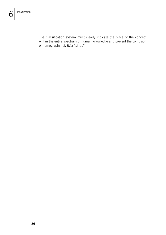The classification system must clearly indicate the place of the concept within the entire spectrum of human knowledge and prevent the confusion of homographs (cf. 6.1: "sinus").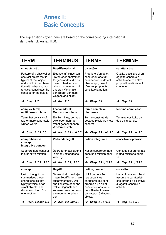# **Annex I: The explanations given here are based on the corresponding international corresponding international corresponding international corresponding international corresponding international corresponding international correspo**

The explanations given here are based on the corresponding international standards (cf. Annex II.3).

| <b>TERM</b>                                                                                                                                                                                | <b>TERMINUS</b>                                                                                                                                                                               | <b>TERME</b>                                                                                                                                                             | <b>TERMINE</b>                                                                                                           |
|--------------------------------------------------------------------------------------------------------------------------------------------------------------------------------------------|-----------------------------------------------------------------------------------------------------------------------------------------------------------------------------------------------|--------------------------------------------------------------------------------------------------------------------------------------------------------------------------|--------------------------------------------------------------------------------------------------------------------------|
| characteristic                                                                                                                                                                             | <b>Begriffsmerkmal</b>                                                                                                                                                                        | caractère                                                                                                                                                                | caratteristica                                                                                                           |
| Feature of a physical or<br>abstract object that is<br>typical of that object<br>and which, in combina-<br>tion with other charac-<br>terstics, constitutes the<br>concept for the object. | Eigenschaft eines kon-<br>kreten oder abstrakten<br>Gegenstandes, die für<br>diesen charkteristisch<br>ist und zusammen mit<br>anderen Merkmalen<br>den Begriff von dem<br>Gegenstand bildet. | Propriété d'un objet<br>concret ou abstrait.<br>caractéristique de cet<br>objet et qui, unie à<br>d'autres propriétés,<br>constitue la notion.                           | Qualità peculiare di un<br>oggetto concreto o<br>astratto che con altre<br>proprietà costituisce il<br>concetto.         |
| $\rightarrow$ Chap. 2.2                                                                                                                                                                    | $\rightarrow$ Kap. 2.2                                                                                                                                                                        | $\rightarrow$ Chap. 2.2                                                                                                                                                  | $\rightarrow$ Cap. 2.2                                                                                                   |
| complex term;<br>multiple-word term                                                                                                                                                        | Fachausdruck;<br><b>Mehrwortterminus</b>                                                                                                                                                      | terme complexe;<br>pluriterme                                                                                                                                            | termine complesso                                                                                                        |
| Term that consists of<br>two or more separately<br>written words.                                                                                                                          | Ein Terminus, der aus<br>zwei oder mehr ge-<br>trennt geschriebenen<br>Wörtern besteht.                                                                                                       | Terme constitué de<br>deux ou plusieurs mots<br>séparés.                                                                                                                 | Termine costituito da<br>due o più parole.                                                                               |
| $\rightarrow$ Chap. 2.2.1, 5.5                                                                                                                                                             | $\rightarrow$ Kap. 2.2.1 und 5.5                                                                                                                                                              | → Chap. 2.2.1 et 5.5                                                                                                                                                     | → Cap. 2.2.1 e 5.5                                                                                                       |
| comprehensive<br>concept:<br>integrative concept                                                                                                                                           | Verbandsbegriff                                                                                                                                                                               | notion intégrante                                                                                                                                                        | concetto comprensivo                                                                                                     |
| Superordinate concept<br>in a partitive relation.                                                                                                                                          | Übergeordneter Begriff<br>in einer Bestandesbe-<br>ziehung.                                                                                                                                   | Notion superordonnée<br>dans une relation parti-<br>tive.                                                                                                                | Concetto superordinato<br>in una relazione partiti-<br>va.                                                               |
| $\rightarrow$ Chap. 2.2.1, 5.3.3                                                                                                                                                           | $\rightarrow$ Kap. 2.2.1, 5.3.3                                                                                                                                                               | $\rightarrow$ Chap. 2.2.1, 5.3.3                                                                                                                                         | $\rightarrow$ Cap. 2.2.1, 5.3.3                                                                                          |
| concept                                                                                                                                                                                    | <b>Begriff</b>                                                                                                                                                                                | notion; concept                                                                                                                                                          | concetto                                                                                                                 |
| Unit of thought that<br>summarises those<br>characteristics that<br>typify physical or ab-<br>stract objects, and<br>distinguish them from<br>one another.                                 | Denkeinheit, die dieje-<br>nigen Begriffsmerkmale<br>zusammenfasst, wel-<br>che konkrete oder abs-<br>trakte Gegenstände<br>kennzeichnen und von-<br>einander unterschei-<br>den.             | Unité de pensée<br>regroupant les<br>caractères qui sont<br>propres à un objet<br>concret ou abstrait et<br>qui délimitent celui-ci<br>par rapport à d'autres<br>objets. | Unità di pensiero che ri-<br>assume le caratteristi-<br>che, proprie e distintive,<br>di oggetti concreti o<br>astratti. |
| $\rightarrow$ Chap. 2.2 and 5.3                                                                                                                                                            | $\rightarrow$ Kap. 2.2 und 5.3                                                                                                                                                                | $\rightarrow$ Chap. 2.2 et 5.3                                                                                                                                           | $\rightarrow$ Cap. 2.2 e 5.3                                                                                             |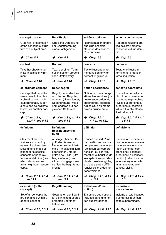| concept diagram                                                                                                                                                                                                                                  | <b>Begriffsplan</b>                                                                                                                                                                                                                        | schéma notionnel                                                                                                                                                                                                                                                                          | schema concettuale                                                                                                                                                                                                                                              |
|--------------------------------------------------------------------------------------------------------------------------------------------------------------------------------------------------------------------------------------------------|--------------------------------------------------------------------------------------------------------------------------------------------------------------------------------------------------------------------------------------------|-------------------------------------------------------------------------------------------------------------------------------------------------------------------------------------------------------------------------------------------------------------------------------------------|-----------------------------------------------------------------------------------------------------------------------------------------------------------------------------------------------------------------------------------------------------------------|
| Graphical presentation<br>of the conceptual struc-<br>ture of a subject area.                                                                                                                                                                    | Grafische Darstellung<br>der Begriffsordnung<br>eines Sachgebiets.                                                                                                                                                                         | Représentation graphi-<br>que d'un ensemle<br>structuré des notions<br>d'un domaine.                                                                                                                                                                                                      | Rappresentazione gra-<br>fica dell'ordinamento<br>concettuale di un domi-<br>nio.                                                                                                                                                                               |
| $\rightarrow$ Chap. 5.3                                                                                                                                                                                                                          | $\rightarrow$ Kap. 5.3                                                                                                                                                                                                                     | $\rightarrow$ Chap. 5.3                                                                                                                                                                                                                                                                   | $\rightarrow$ Cap. 5.3                                                                                                                                                                                                                                          |
| context                                                                                                                                                                                                                                          | Kontext                                                                                                                                                                                                                                    | contexte                                                                                                                                                                                                                                                                                  | contesto                                                                                                                                                                                                                                                        |
| Text that shows a term<br>in its linguistic environ-<br>ment.                                                                                                                                                                                    | Text, der einen Termi-<br>nus in seinem sprachli-<br>chen Umfeld zeigt.                                                                                                                                                                    | Texte illustrant un ter-<br>me dans son environ-<br>nement linguistique.                                                                                                                                                                                                                  | Testo che illustra un<br>termine nel proprio in-<br>torno linquistico.                                                                                                                                                                                          |
| $\rightarrow$ Chap. 4.1.10                                                                                                                                                                                                                       | $\rightarrow$ Kap. 4.1.10                                                                                                                                                                                                                  | $\rightarrow$ Chap. 4.1.10                                                                                                                                                                                                                                                                | $\rightarrow$ Cap. 4.1.10                                                                                                                                                                                                                                       |
| co-ordinate concept                                                                                                                                                                                                                              | Nebenbegriff                                                                                                                                                                                                                               | notion coordonnée                                                                                                                                                                                                                                                                         | concetto coordinato                                                                                                                                                                                                                                             |
| Concept that is on the<br>same level in the hier-<br>archical concept order<br>(superordinate, subor-<br>dinate and co-ordinate<br>levels) as another con-<br>cept.                                                                              | Begriff, der in der hie-<br>rarchischen Begriffs-<br>ordnung (Über-, Unter,<br>Nebenordnung) mit ei-<br>nem anderen auf der<br>gleichen Stufe steht.                                                                                       | Notion qui dans un sy-<br>stème hiérarchique (ni-<br>veaux superordonné,<br>subordonné, coordon-<br>né) se situe au même<br>niveau qu'une autre.                                                                                                                                          | Concetto che nell'am-<br>bito di un ordinamento<br>concettuale gerarchico<br>(livello superordinato,<br>subordinato, coordina-<br>to), si situa allo stesso<br>livello di un altro.                                                                             |
| $\rightarrow$ Chap. 2.2.1,<br>$4.1.4.1$ and $5.3.3$                                                                                                                                                                                              | $\rightarrow$ Kap. 2.2.1, 4.1.4.1<br>und $5.3.3$                                                                                                                                                                                           | $\rightarrow$ Chap. 2.2.1,<br>4.1.4.1 et 5.3.3                                                                                                                                                                                                                                            | $\rightarrow$ Cap. 2.2.1, 4.1.4.1<br>e <sub>5.3.3</sub>                                                                                                                                                                                                         |
|                                                                                                                                                                                                                                                  |                                                                                                                                                                                                                                            |                                                                                                                                                                                                                                                                                           |                                                                                                                                                                                                                                                                 |
| definition                                                                                                                                                                                                                                       | Definition:<br>Begriffsumschrei-<br>bung                                                                                                                                                                                                   | définition                                                                                                                                                                                                                                                                                | definizione                                                                                                                                                                                                                                                     |
| Statement that de-<br>scribes a concept by<br>naming its character-<br>istics (intensional defi-<br>nition) or its specific<br>concepts or parts (ex-<br>tensional definition) and<br>which distinguishes it<br>from neighbouring con-<br>cepts. | Aussage über den Be-<br>griff, die diesen durch<br>Nennung seiner Merk-<br>male (Inhaltsdefinition)<br>oder seiner Unterbe-<br>griffe bzw. Teile (Um-<br>fangsdefiniton) be-<br>stimmt und gegen sei-<br>ne Nachbarbegriffe ab-<br>grenzt. | Énoncé qui sert d'une<br>part à décrire une no-<br>tion par ses caractères<br>(définition par compré-<br>hension) ou par l'énu-<br>mération exhaustive de<br>ses spécifiques ou des<br>objets qu'elle englobe,<br>et d'autre part à diffé-<br>rencier celle-ci des no-<br>tions voisines. | Enunciato che descrive<br>un concetto enumeran-<br>done le caratteristiche<br>(definizione per com-<br>prensione), i concetti<br>subordinati o i concetti<br>partitivi (definizione per<br>estensione) e lo deli-<br>mita rispetto ad altri<br>concetti vicini. |
| $\rightarrow$ Chap. 2.2.1, 4.1.4<br>and 5.3                                                                                                                                                                                                      | $\rightarrow$ Kap. 2.2.1, 4.1.4<br>und $5.3$                                                                                                                                                                                               | $\rightarrow$ Chap. 2.2.1, 4.1.4<br>et 5.3                                                                                                                                                                                                                                                | $\rightarrow$ Cap. 2.2.1, 4.1.4 e<br>5.3                                                                                                                                                                                                                        |
| extension (of the<br>concept)                                                                                                                                                                                                                    | <b>Begriffsumfang</b>                                                                                                                                                                                                                      | extension (d'une<br>notion)                                                                                                                                                                                                                                                               | estensione<br>(concettuale)                                                                                                                                                                                                                                     |
| Set of all concepts that<br>are contained within a<br>generic concept.                                                                                                                                                                           | Gesamtheit der Begrif-<br>fe, die in einem überge-<br>ordneten Begriff ent-<br>halten sind.                                                                                                                                                | Ensemble des notions<br>incluses dans une no-<br>tion superordonnée.                                                                                                                                                                                                                      | Insieme di tutti i concet-<br>ti compresi in un con-<br>cetto superordinato.                                                                                                                                                                                    |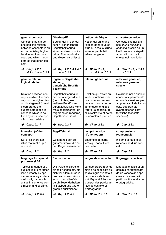| generic concept<br>Concept that in a gen-<br>eric (logical) relation<br>between concepts is on<br>an immediately higher<br>level to another con-<br>cept, and which incor-<br>porates that other con-<br>cept.                        | Oberbegriff<br>Begriff, der in der logi-<br>schen (generischen)<br>Begriffsbeziehung<br>einem anderen unmit-<br>telbar übergeordnet ist<br>und diesen eischliesst.                                   | notion générique<br>Notion qui dans une<br>relation générique se<br>situe au dessus d'une<br>autre, et par le fait<br>même l'englobe.                                                                        | concetto generico<br>Concetto che nell'am-<br>bito di una relazione<br>generica si situa ad un<br>livello superiore rispetto<br>ad un altro concetto<br>che quindi racchiude.                   |
|---------------------------------------------------------------------------------------------------------------------------------------------------------------------------------------------------------------------------------------|------------------------------------------------------------------------------------------------------------------------------------------------------------------------------------------------------|--------------------------------------------------------------------------------------------------------------------------------------------------------------------------------------------------------------|-------------------------------------------------------------------------------------------------------------------------------------------------------------------------------------------------|
| $\rightarrow$ Chap. 2.2.1,<br>$4.1.4.1$ and $5.3.3$                                                                                                                                                                                   | $\rightarrow$ Kap. 2.2.1, 4.1.4.1<br>und $5.3.3$                                                                                                                                                     | $\rightarrow$ Chap. 2.2.1,<br>4.1.4.1 et 5.3.3                                                                                                                                                               | $\rightarrow$ Cap. 2.2.1, 4.1.4.1<br>e.5.3.3                                                                                                                                                    |
| generic relation;<br>logical relation                                                                                                                                                                                                 | logische Begriffsbe-<br>ziehuna:<br>generische Begriffs-<br>beziehung                                                                                                                                | relation générique                                                                                                                                                                                           | relazione generica;<br>relazione genere-<br>specie                                                                                                                                              |
| Relation between con-<br>cepts in which the con-<br>cept on the higher hier-<br>archical (generic) level<br>incorporates the<br>subordinate (specific)<br>concept, which is de-<br>fined by additional spe-<br>cific characteristics. | Begriffsbeziehung, in<br>der der übergeordnete<br>(dem Umfang nach<br>weitere) Begriff den<br>durch zusätzliche Merk-<br>male spezifizierten, un-<br>tergordneten (engeren)<br>Begriff einschliesst. | Relation qui existe en-<br>tre deux notions lors-<br>que l'une, à compré-<br>hension plus large (le<br>générique), englobe<br>l'autre (le spécifique),<br>plus restreinte et dotée<br>de caractères propres. | Relazione nella quale il<br>concetto superordinato<br>(con un'estensione più<br>ampia) racchiude il con-<br>cetto subordinato<br>avente ulteriori carat-<br>teristiche (concetto<br>specifico). |
| $\rightarrow$ Chap. 2.2.1                                                                                                                                                                                                             | $\rightarrow$ Kap. 2.2.1                                                                                                                                                                             | $\rightarrow$ Chap. 2.2.1                                                                                                                                                                                    | $\rightarrow$ Cap. 2.2.1                                                                                                                                                                        |
| intension (of the<br>concept)                                                                                                                                                                                                         | <b>Begriffsinhalt</b>                                                                                                                                                                                | compréhension<br>(d'une notion)                                                                                                                                                                              | comprensione<br>(concettuale)                                                                                                                                                                   |
| Set of all character-<br>istics that make up a<br>concept.                                                                                                                                                                            | Gesamtheit der Be-<br>griffsmerkmale, die ei-<br>nen Begriff ausmachen.                                                                                                                              | Ensemble de carac-<br>tères qui constituent<br>une notion.                                                                                                                                                   | Insieme di tutte le ca-<br>ratteristiche di un con-<br>cetto.                                                                                                                                   |
| $\rightarrow$ Chap. 2.2                                                                                                                                                                                                               | $\rightarrow$ Kap. 2.2                                                                                                                                                                               | $\rightarrow$ Chap. 2.2                                                                                                                                                                                      | $\rightarrow$ Cap. 2.2                                                                                                                                                                          |
| language for special<br>purposes (LSP)                                                                                                                                                                                                | Fachsprache                                                                                                                                                                                          | langue de spécialité                                                                                                                                                                                         | linguaggio speciale                                                                                                                                                                             |
| Typical language of a<br>subject field, character-<br>ised primarily by spe-<br>cial vocabulary and oc-<br>casionally by peculi-<br>arities in sentence con-<br>struction and spelling.                                               | Die typische Sprache<br>eines Fachgebiets, die<br>sich vor allem durch ih-<br>ren besonderen Wort-<br>schatz und allenfalls<br>durch Besonderheiten<br>in Satzbau und Ortho-<br>graphie auszeichnet. | Lanque propre à un do-<br>maine de spécialité qui<br>se distingue avant tout<br>par son vocabulaire<br>spécifique et à l'occa-<br>sion par des particula-<br>rités de syntaxe et<br>d'orthographe.           | Linguaggio tipico di un<br>dominio caratterizzato<br>da un vocabolario spe-<br>ciale e da eventuali<br>particolarità sintattiche<br>e ortografiche.                                             |
| $\rightarrow$ Chap. 2.2, 5.5                                                                                                                                                                                                          | $\rightarrow$ Kap. 2.2, 5.5                                                                                                                                                                          | • Chap. 2.2, 5.5                                                                                                                                                                                             | $\rightarrow$ Cap. 2.2, 5.5                                                                                                                                                                     |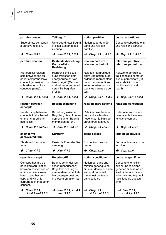| partitive concept                                                                                                                                                                              | <b>Teilbegriff</b>                                                                                                                                     | notion partitive                                                                                                                                                | concetto partitivo                                                                                                                                                    |
|------------------------------------------------------------------------------------------------------------------------------------------------------------------------------------------------|--------------------------------------------------------------------------------------------------------------------------------------------------------|-----------------------------------------------------------------------------------------------------------------------------------------------------------------|-----------------------------------------------------------------------------------------------------------------------------------------------------------------------|
| Subordinate concept in<br>a partitive relation.                                                                                                                                                | Untergeordneter Begriff<br>in einer Bestandesbe-<br>ziehung.                                                                                           | Notion subordonnée<br>dans une relation<br>partitive.                                                                                                           | Concetto subordinato in<br>una relazione partitiva.                                                                                                                   |
| $\rightarrow$ Chap. 5.3.3                                                                                                                                                                      | $\rightarrow$ Kap. 2.2.1, 5.3.3                                                                                                                        | $\rightarrow$ Chap. 2.2.1, 5.3.3                                                                                                                                | $\rightarrow$ Cap. 2.2.1, 5.3.3                                                                                                                                       |
| partitive relation                                                                                                                                                                             | Bestandesbeziehung;<br>Ganzes-Teil-<br><b>Beziehung</b>                                                                                                | relation partitive;<br>relation partie-tout                                                                                                                     | relazione partitiva;<br>relazione parte-tutto                                                                                                                         |
| Hierarchical relation-<br>ship between the su-<br>perior comprehensive<br>concept (whole) and its<br>subordinate partitive<br>concepts (parts).                                                | Hierarchische Bezie-<br>hung zwischen dem<br>übergeordneten Ver-<br>bandsbegriff (Ganzes)<br>und seinen untergeord-<br>neten Teilbegriffen<br>(Teile). | Relation hiérarchique<br>entre une notion super-<br>ordonnée représentant<br>un tout et des notions<br>subordonnées consti-<br>tuant les parties de ce<br>tout. | Relazione gerarchica<br>tra il concetto compren-<br>sivo superordinato (tut-<br>to) e relativi concetti<br>partitivi subordinati<br>(parti).                          |
| $\rightarrow$ Chap. 2.2.1, 5.3.3                                                                                                                                                               | $\rightarrow$ Kap. 2.2.1, 5.3.3                                                                                                                        | $\rightarrow$ Chap. 2.2.1, 5.3.3                                                                                                                                | $\rightarrow$ Cap. 2.2.1 e 5.3.3                                                                                                                                      |
| relation between<br>concepts                                                                                                                                                                   | Begriffsbeziehung                                                                                                                                      | relation entre notions                                                                                                                                          | relazione concettuale                                                                                                                                                 |
| Relationship between<br>concepts that is based<br>on their shared char-<br>acteristics.                                                                                                        | Beziehung zwischen<br>Begriffen, die auf deren<br>gemeinsamen Begriffs-<br>merkmalen beruht.                                                           | Relation qu'entretien-<br>nent entre elles des<br>notions par le biais de<br>caractères communs.                                                                | Relazione tra concetti<br>basata sulle loro carat-<br>teristiche comuni.                                                                                              |
| $\rightarrow$ Chap. 2.2 and 5.3                                                                                                                                                                | $\rightarrow$ Kap. 2.2 und 5.3                                                                                                                         | $\rightarrow$ Chap. 2.2 et 5.3                                                                                                                                  | $\rightarrow$ Cap. 2.2 e 5.3                                                                                                                                          |
| short form;<br>abbreviated term                                                                                                                                                                | Kurzform                                                                                                                                               | terme abrégé                                                                                                                                                    | termine abbreviato                                                                                                                                                    |
| Shortened form of a<br>term.                                                                                                                                                                   | Gekürzte Form der Be-<br>nennung.                                                                                                                      | Forme écourtée d'un<br>terme.                                                                                                                                   | Forma abbreviata di un<br>termine.                                                                                                                                    |
| $\rightarrow$ Chap. 4.1.6                                                                                                                                                                      | $\rightarrow$ Kap. 4.1.6                                                                                                                               | $\rightarrow$ Chap. 4.1.6                                                                                                                                       | $\rightarrow$ Cap. 4.1.6                                                                                                                                              |
| specific concept                                                                                                                                                                               | <b>Unterbegriff</b>                                                                                                                                    | notion spécifique                                                                                                                                               | concetto specifico                                                                                                                                                    |
| Concept that in a ge-<br>neric (logical) relation<br>between concepts is on<br>an immediately lower<br>level to another con-<br>cept, and which is in-<br>corporated in that other<br>concept. | Begriff, der in der logi-<br>schen (generischen)<br>Begriffsbeziehung ei-<br>nem anderen unmittel-<br>bar untergeordnet und<br>in diesem enhalten ist. | Notion qui dans une<br>relation générique se<br>situe au dessous d'une<br>autre, et par le fait<br>même est contenue<br>dans celle-ci.                          | Concetto che nell'am-<br>bito di una relazione<br>generica si situa ad un<br>livello inferiore rispetto<br>ad un altro ed è quindi<br>racchiuso da quest'ul-<br>timo. |
| $\rightarrow$ Chap. 2.2.1.<br>$4.1.4.1$ and $5.3.3$                                                                                                                                            | $\rightarrow$ Kap. 2.2.1, 4.1.4.1<br>und $5.3.3$                                                                                                       | $\rightarrow$ Chap. 2.2.1,<br>4.1.4.1 et 5.3.3                                                                                                                  | $\rightarrow$ Cap. 2.2.1,<br>4.1.4.1 e 5.3.3                                                                                                                          |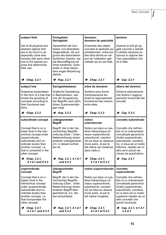| subject field                                                                                                                                                                                                        | Fachgebiet:<br>Sachgebiet                                                                                                                                                                                                              | domaine;<br>domaine de spécialité                                                                                                                                                                 | dominio                                                                                                                                                                                                                                        |
|----------------------------------------------------------------------------------------------------------------------------------------------------------------------------------------------------------------------|----------------------------------------------------------------------------------------------------------------------------------------------------------------------------------------------------------------------------------------|---------------------------------------------------------------------------------------------------------------------------------------------------------------------------------------------------|------------------------------------------------------------------------------------------------------------------------------------------------------------------------------------------------------------------------------------------------|
| Set of all physical and<br>abstract objects that<br>are to be found in an<br>especially close rela-<br>tionship with each other<br>due to the special pur-<br>pose that determines<br>their use.                     | Gesamtheit der kon-<br>kreten und abstrakten<br>Gegenstände, die auf-<br>grund des besonderen<br>fachlichen Zwecks, der<br>die Beschäftigung mit<br>ihnen bestimmt, zuein-<br>ander in einer beson-<br>ders engen Beziehung<br>stehen. | Ensemble des objets<br>concrets et abstraits qui<br>entretiennent entre eux<br>des liens étroits en rai-<br>son de l'utilisation spé-<br>cialisée qui en est faite.                               | Insieme di tutti gli og-<br>getti concreti o astratti<br>in stretta relazione re-<br>ciproca in ragione del-<br>l'uso specialistico che<br>ne è fatto.                                                                                         |
| $\rightarrow$ Chap. 2.2.1                                                                                                                                                                                            | $\rightarrow$ Kap. 2.2.1                                                                                                                                                                                                               | →<br>Chap. 2.2.1                                                                                                                                                                                  | Cap. 2.2.1<br>→                                                                                                                                                                                                                                |
| subject tree                                                                                                                                                                                                         | Sachgebietsbaum                                                                                                                                                                                                                        | arbre de domaine                                                                                                                                                                                  | albero del dominio                                                                                                                                                                                                                             |
| Graphical presentation<br>in the form of a tree that<br>shows the grouping of<br>concepts according to<br>their functional rela-<br>tions.                                                                           | Grafische Darstellung<br>in Baumstruktur, wel-<br>che die Gruppierung<br>der Begriffe nach sach-<br>lichen Zusammenhän-<br>gen zeigt.                                                                                                  | Schéma sous forme<br>d'arborescence illu-<br>strant le regroupement<br>fonctionnel des notions<br>entre elles.                                                                                    | Schema arborescente<br>che illustra il raggrup-<br>pamento funzionale dei<br>concetti.                                                                                                                                                         |
| $\rightarrow$ Chap. 5.3.2                                                                                                                                                                                            | $\rightarrow$ Kap. 5.3.2                                                                                                                                                                                                               | Chap. 5.3.2<br>→                                                                                                                                                                                  | Cap. 5.3.2<br>→                                                                                                                                                                                                                                |
| subordinate concept                                                                                                                                                                                                  | untergeordneter<br><b>Begriff</b>                                                                                                                                                                                                      | notion<br>subordonnée                                                                                                                                                                             | concetto subordinato                                                                                                                                                                                                                           |
| Concept that is on a<br>lower level in the hier-<br>archical concept order<br>(superordinate,<br>subordinate and co-<br>ordinate levels) than<br>another concept, i.e.<br>that is contained in the<br>other concept. | Begriff, der in der hie-<br>rarchischen Begriffs-<br>ordnung (Über-, Unter-,<br>Nebenordnung) einem<br>anderen untergeordnet,<br>d.h. in diesem enthal-<br>ten ist.                                                                    | Notion qui dans un sys-<br>tème hiérarchique (ni-<br>veaux superordonné,<br>subordonné, coordon-<br>né) se situe au dessous<br>d'une autre, et par le<br>fait même est contenue<br>dans celle-ci. | Concetto che nell'am-<br>bito di un ordinamento<br>concettuale gerarchico<br>(livello superordinato,<br>subordinato, coordina-<br>to), si situa ad un livello<br>inferiore rispetto ad un<br>altro ed è quindi rac-<br>chiuso da quest'ultimo. |
| $\rightarrow$ Chap. 2.2.1,<br>4.1.4.1 and 5.3.3                                                                                                                                                                      | $\rightarrow$ Kap. 2.2.1, 4.1.4.1<br>und $5.3.3$                                                                                                                                                                                       | $\rightarrow$ Chap. 2.2.1,<br>4.1.4.1 et 5.3.3                                                                                                                                                    | $\rightarrow$ Cap. 2.2.1                                                                                                                                                                                                                       |
| superordinate<br>concept                                                                                                                                                                                             | übergeordneter<br><b>Begriff</b>                                                                                                                                                                                                       | notion superordonnée                                                                                                                                                                              | concetto<br>superordinato                                                                                                                                                                                                                      |
| Concept that is on a<br>higher level in the<br>hierarchical concept<br>order (superordinate,<br>subordinate and co-<br>ordinate levels) than<br>another concept, i.e.<br>that incorporates the<br>other concept.     | Begriff, der in der hie-<br>rarchischen Beariffs-<br>ordnung (Über-, Unter,<br>Nebenordnung) einem<br>anderen Begriff über-<br>geordnet ist, d.h. die-<br>sen einschliesst.                                                            | Notion qui dans un sys-<br>tème hiérarchique (ni-<br>veaux superordonné,<br>subordonné, coordon-<br>né) se situe au dessus<br>d'une autre, et par le<br>fait même l'englobe.                      | Concetto che nell'am-<br>bito di un ordinamento<br>concettuale gerarchico<br>(livello superordinato,<br>subordinato, coordina-<br>to) si situa ad un livello<br>superiore rispetto ad un<br>altro concetto che<br>quindi racchiude.            |
| $\rightarrow$ Chap. 2.2.1,<br>$4.1.4.1$ and $5.3.3$                                                                                                                                                                  | $\rightarrow$ Kap. 2.2.1, 4.1.4.1<br>und 5.3.3                                                                                                                                                                                         | $\rightarrow$ Chap. 2.2.1,<br>4.1.4.1 et 5.3.3                                                                                                                                                    | $\rightarrow$ Cap. 2.2.1, 4.1.4.1<br>e 5.3.3                                                                                                                                                                                                   |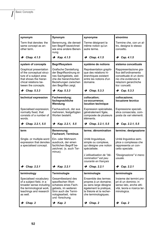| synonym                                                                                                                                               | Synonym                                                                                                                                                     | synonyme                                                                                                                                            | sinonimo                                                                                                                                      |
|-------------------------------------------------------------------------------------------------------------------------------------------------------|-------------------------------------------------------------------------------------------------------------------------------------------------------------|-----------------------------------------------------------------------------------------------------------------------------------------------------|-----------------------------------------------------------------------------------------------------------------------------------------------|
| Term that denotes the<br>same concept as an-<br>other term.                                                                                           | Benennung, die densel-<br>ben Beariff bezeichnet<br>wie eine andere Benen-<br>nung.                                                                         | Terme désignant la<br>même notion qu'un<br>autre terme.                                                                                             | Termine che, con un al-<br>tro, designa lo stesso<br>concetto.                                                                                |
| $\rightarrow$ Chap. 4.1.5                                                                                                                             | $\rightarrow$ Kap. 4.1.5                                                                                                                                    | $\rightarrow$ Chap. 4.1.5                                                                                                                           | $\rightarrow$ Cap. 4.1.5                                                                                                                      |
| system of concepts                                                                                                                                    | <b>Begriffssystem</b>                                                                                                                                       | système de notions                                                                                                                                  | sistema concettuale                                                                                                                           |
| Graphical presentation<br>of the conceptual struc-<br>ture of a subject area<br>that shows the hierar-<br>chical relations be-<br>tween the concepts. | Grafische Darstellung<br>der Begriffsordnung ei-<br>nes Sachgebiets, wel-<br>che die hierarchischen<br>Beziehungen zwischen<br>den Begriffen zeigt.         | Représentation graphi-<br>que des relations hi-<br>érarchiques existant<br>entre les notions d'un<br>domaine.                                       | Rappresentazione gra-<br>fica dell'ordinamento<br>concettuale di un domi-<br>nio che evidenzia le<br>relazioni gerarchiche<br>tra i concetti. |
| $\rightarrow$ Chap. 5.3.3                                                                                                                             | $\rightarrow$ Kap. 5.3.3                                                                                                                                    | $\rightarrow$ Chap. 5.3.3                                                                                                                           | $\rightarrow$ Cap. 5.3.3                                                                                                                      |
| technical expression                                                                                                                                  | Fachwendung;<br>fachsprachliche<br>Wendung                                                                                                                  | collocation;<br>co-occurrence:<br>locution technique                                                                                                | collocazione;<br>locuzione tecnica                                                                                                            |
| Specialised expression,<br>normally fixed, that<br>consists of a number of<br>words.                                                                  | Fachausdruck, der aus<br>mehreren, festgefügten<br>Worten besteht.                                                                                          | Expression spécialisée,<br>généralement figée,<br>composée de plusieurs<br>éléments.                                                                | Espressione speciali-<br>stica consacrata, com-<br>posta da vari elementi.                                                                    |
| $\rightarrow$ Chap. 2.2.1, 5.5                                                                                                                        | $\rightarrow$ Kap. 2.2.1, 5.5                                                                                                                               | • Chap. 2.2.1, 5.5                                                                                                                                  | $\rightarrow$ Cap. 2.2.1, 5.5                                                                                                                 |
| term                                                                                                                                                  | Benennung;<br><b>Fachwort; Terminus</b>                                                                                                                     | terme; dénomination                                                                                                                                 | termine; designazione                                                                                                                         |
| Single- or multiple-word<br>expression that denotes<br>a specialised concept.                                                                         | Ein- oder Mehrwort-<br>ausdruck, der einen<br>fachlichen Begriff be-<br>zeichnet. (s. auch Ter-<br>minus).                                                  | Unité linguistique,<br>simple ou complexe.<br>qui désigne une notion<br>spécialisée.                                                                | Unità linguistica sem-<br>plice o complessa che<br>rappresenta un con-<br>cetto speciale.                                                     |
|                                                                                                                                                       |                                                                                                                                                             | L'utilisatisation de "dé-<br>nomination" est peu<br>courante en français                                                                            | "Designazione" è meno<br>usuale.                                                                                                              |
| $\rightarrow$ Chap. 2.2.1                                                                                                                             | $\rightarrow$ Kap. 2.2.1                                                                                                                                    | $\rightarrow$ Chap. 2.2.1                                                                                                                           | $\rightarrow$ Cap. 2.2.1                                                                                                                      |
| terminology                                                                                                                                           | Terminologie                                                                                                                                                | terminologie                                                                                                                                        | terminologia                                                                                                                                  |
| Specialised vocabulary<br>of a subject field, in a<br>broader sense including<br>the terminological work,<br>teachings and research<br>as well.       | Gesamtbestand des<br>spezifischen Wort-<br>schatzes eines Fach-<br>gebiets, im weiteren<br>Sinn auch die Termi-<br>nologiearbeit, -lehre<br>und -forschung. | Ensemble des termes<br>propres à un domaine;<br>au sens large désigne<br>également la pratique.<br>la théorie et la recher-<br>che terminologiques. | Insieme dei termini pro-<br>pri di un dominio; in<br>senso lato, anche atti-<br>vità, teoria e ricerca ter-<br>minologica.                    |
| $\rightarrow$ Chap. 2                                                                                                                                 | $\rightarrow$ Kap. 2                                                                                                                                        | $\rightarrow$ Chap. 2                                                                                                                               | $\rightarrow$ Cap. 2                                                                                                                          |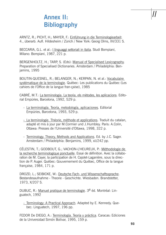# **Annex II: Bibliography**

ARNTZ, R.; PICHT, H.; MAYER, F.: Einführung in die Terminologiearbeit. 4., überarb. Aufl. Hildesheim / Zürich / New York: Georg Olms, IIV/331 S.

BECCARIA, G.L. et al.: I linguaggi settoriali in italia. Studi Bompiani, Milano: Bompiani, 1987, 221 p.

BERGENHOLTZ, H.; TARP, S. (Eds): Manual of Specialised Lexicography. Preparation of Specialised Dictionaries. Amsterdam / Philadelphia: Benjamins, 1995

BOUTIN-QUESNEL, R.; BELANGER, N.; KERPAN, N. et al.: Vocabulaire systématique de la terminologie. Québec: Les publications du Québec (Les cahiers de l'Office de la langue fran-çaise), 1985

CABRÉ, M.T.: La terminologia. La teoria, els mètodes, les aplicacions. Editorial Empúries, Barcelona, 1992, 529 p.

- La terminología. Teoría, metodología, aplicaciones. Editorial Empúries, Barcelona, 1993, 529 p.
- La terminologie. Théorie, méthode et applications. Traduit du catalan, adapté et mis à jour par M.Cormier und J.Humbley. Paris: A.Colin, Ottawa: Presses de l'Université d'Ottawa, 1998, 322 p.
- Terminology. Theory, Methods and Applications. Ed. by J.C. Sager. Amsterdam / Philadelphia: Benjamins, 1999, xii/242 pp.

CÉLESTIN, T.; GODBOUT, G.; VACHON-L'HEUREUX, P.: Méthodologie de la recherche terminologique ponctuelle. Essai de définition. Avec la collaboration de M. Cayer, la participation de H. Cajolet-Laganière, sous la direction de P. Auger. Québec: Gouvernement du Québec, Office de la langue française, 1984, 171 p.

DROZD, L.; SEIBICKE, W.: Deutsche Fach- und Wissenschaftssprache. Bestandesaufnahme - Theorie - Geschichte. Wiesbaden. Brandstetter, 1973, X/207 S.

DUBUC, R.: Manuel pratique de terminologie. 3e éd. Montréal: Linguatech, 1992

- Terminology: A Practical Approach. Adapted by E. Kennedy. Quebec: Linguatech, 1997, 196 pp.

FEDOR De DIEGO, A.: Terminología. Teoría y práctica. Caracas: Ediciones de la Universidad Simón Bolívar, 1995, 159 p.

*II*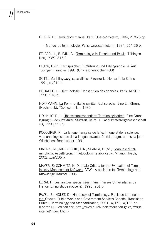FELBER, H.: Terminology manual. Paris: Unesco/Infoterm, 1984, 21/426 pp.

- Manuel de terminologie. Paris: Unesco/Infoterm, 1984, 21/426 p.

FELBER, H.; BUDIN, G.: Terminologie in Theorie und Praxis. Tübingen: Narr, 1989, 315 S.

FLUCK, H.-R.: Fachsprachen. Einführung und Bibliographie. 4. Aufl. Tübingen: Francke, 1991 (Uni-Taschenbücher 483)

GOTTI, M.: I linguaggi specialistici. Firenze: La Nouva Italia Editrice, 1991, xii/214 p.

GOUADEC, D.: Terminologie. Constitution des données. Paris: AFNOR, 1990, 218 p.

HOFFMANN, L.: Kommunikationsmittel Fachsprache. Eine Einführung. (Nachdruck). Tübingen: Narr, 1985

HOHNHOLD, I.: Übersetzungsorientierte Terminologiearbeit. Eine Grundlegung für den Praktiker. Stuttgart: InTra, 1. Fachübersetzergenossenschaft eG, 1990, 223 S.

KOCOUREK, R.: La langue française de la technique et de la science. Vers une linguistique de la langue savante. 2e éd., augm. et mise à jour. Wiesbaden: Brandstetter, 1991

MAGRIS, M.; MUSACCHIO, L.R.; SCARPA, F. (ed.): Manuale di terminologia. Aspetti teorici, metodologici e applicativi. Milano: Hoepli, 2002, xviii/206 p.

MAYER, F.; SCHMITZ, K.-D. et al.: Criteria for the Evaluation of Terminology Management Software. GTW - Association for Terminology and Knowledge Transfer, 1996

LERAT, P.: Les langues spécialisées. Paris: Presses Universitaires de France (Linguistique nouvelle), 1995, 201 p.

PAVEL, S.; NOLET, D.: Handbook of Terminology. Précis de terminologie. Ottawa: Public Works and Government Services Canada, Translation Bureau, Terminology and Standardization, 2001, xx/153, xx/136 pp. (For the PDF edition see: http://www.bureaudelatraduction.gc.ca/pwgsc\_ internet/index\_f.htm)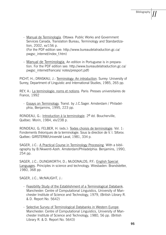- Manual de Terminología. Ottawa: Public Works and Government Services Canada, Translation Bureau, Terminology and Standardization, 2002, xx/156 p. (For the PDF-edition see: http://www.bureaudelatraduction.gc.ca/ pwgsc\_internet/index\_f.htm)
- Manual de Terminologia. An edition in Portuguese is in preparation. For the PDF edition see: http://www.bureaudelatraduction.gc.ca/ pwgsc\_internet/francais/ notes/presport.pdf)

PICHT, H.; DRASKAU, J.: Terminology: An introduction. Surrey: University of Surrey, Department of Linguistic and International Studies, 1985, 265 pp.

REY, A.: La terminologie: noms et notions. Paris: Presses universitaires de France, 1992

- Essays on Terminology. Transl. by J.C.Sager. Amsterdam / Philadelphia, Benjamins, 1995, 223 pp.

RONDEAU, G.: Introduction à la terminologie.  $2^e$  éd. Boucherville, Québec: Morin, 1984, xlv/238 p.

RONDEAU, G; FELBER, H. (eds.): Textes choisis de terminologie. Vol. 1: Fondements théoriques de la terminologie. Sous la direction de V. I. Siforov. Québec: GIRSTERM/Université Laval, 1981, 334 p.

SAGER, J.C.: A Practical Course in Terminology Processing. With a bibliography by B.Nkwenti-Azeh. Amsterdam/Philadelphia: Benjamins, 1990, 254 pp.

SAGER, J.C.; DUNGWORTH, D.; McDONALDS, P.F.: English Special Languages. Principles in science and technology. Wiesbaden: Brandstetter, 1980, 368 pp.

SAGER, J.C.; McNAUGHT, J.:

- Feasibility Study of the Establishment of a Terminological Databank. Manchester: Centre of Computational Linguistics, University of Manchester Institute of Science and Technology, 1979, (British Library R. & D. Report No. 5642)
- Selective Survey of Terminological Databanks in Western Europe. Manchester: Centre of Computational Linguistics, University of Manchester Institute of Science and Technology, 1980, 56 pp. (British Library R. & D. Report No. 5643)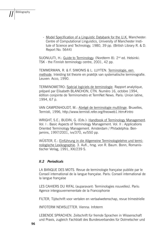- Model Specification of a Linguistic Databank for the U.K. Manchester: Centre of Computational Linguistics, University of Manchester Institute of Science and Technology, 1980, 39 pp. (British Library R. & D. Report No. 5644)

SUONUUTI, H.: Guide to Terminology. (Nordterm 8). 2<sup>nd</sup> ed. Helsinki: TSK - the Finnish terminology centre, 2001, 42 pp.

TEMMERMAN, R. & F. SIMONIS & L. LUYTEN. Terminologie, een methode. Inleiding tot theorie en praktijk van systematische terminografie. Leuven: Acco, 1990.

TERMINOMETRO: Spécial logiciels de terminologie. Rapport analytique, préparé par Elisabeth BLANCHON, CTN. Numéro 16, octobre 1994, édition conjointe de Terminometro et TermNet News. Paris: Union latine, 1994, 67 p.

VAN CAMPENHOUDT, M.: Abrégé de terminologie multilinge. Bruxelles, Termisti, 1996, http://www.termisti.refer.org/theoweb1.htm#intro

WRIGHT, S.E.; BUDIN, G. (Eds.): Handbook of Terminology Management. Vol. I : Basic Aspects of Terminology Management. Vol. II : Applications Oriented Terminology Management. Amsterdam / Philadelphia: Benjamins, 1997/2001, ivx/370, xv/550 pp.

WÜSTER, E.: Einführung in die Allgemeine Terminologielehre und terminologische Lexikographie. 3. Aufl., hrsg. von R. Baum. Bonn, Romanistischer Verlag, 1991, XXI/239 S.

### *II.2 Periodicals*

LA BANQUE DES MOTS. Revue de terminologie française publiée par le Conseil international de la langue française. Paris: Conseil international de la langue française

LES CAHIERS DU RIFAL (auparavant: Terminologies nouvelles). Paris: Agence intergouvernementale de la Francophonie

FILTER, Tijdschrift voor vertalen en vertaalwetenschap, revue trimestrielle

INFOTERM NEWSLETTER. Vienna: Infoterm

LEBENDE SPRACHEN. Zeitschrift für fremde Sprachen in Wissenschaft und Praxis, zugleich Fachblatt des Bundesverbandes für Dolmetscher und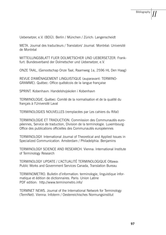Uebersetzer, e.V. (BDÜ). Berlin / München / Zürich: Langenscheidt

META. Journal des traducteurs / Translators' Journal. Montréal: Université de Montréal

MITTEILUNGSBLATT FUER DOLMETSCHER UND UEBERSETZER. Frankfurt: Bundesverband der Dolmetscher und Uebersetzer, e.V.

ONZE TAAL, (Genootschap Onze Taal, Raamweg 1a, 2596 HL Den Haag)

REVUE D'AMÉNAGEMENT LINGUISTIQUE (auparavant: TERMINO-GRAMME). Québec: Office québécois de la langue française

SPRINT. Kobenhavn: Handelshojskolen i Kobenhavn

TERMINOLOGIE. Québec: Comité de la normalisation et de la qualité du français à l'Université Laval

TERMINOLOGIES NOUVELLES (remplacées par Les cahiers du Rifal)

TERMINOLOGIE ET TRADUCTION. Commission des Communautés européennes, Service de traduction, Division de la terminologie. Luxembourg: Office des publications officielles des Communautés européennes

TERMINOLOGY. International Journal of Theoretical and Applied Issues in Specialized Communication. Amsterdam / Philadelphia: Benjamins

TERMINOLOGY SCIENCE AND RESEARCH. Vienna: International Institute of Terminology Research

TERMINOLOGY UPDATE / L'ACTUALITÉ TERMINOLOGIQUE Ottawa: Public Works and Government Services Canada, Translation Bureau

TERMINOMETRO. Bulletin d'information: terminologie, linguistique informatique et édition de dictionnaires. Paris: Union Latine PDF edition: http://www.terminometro.info/

TERMNET NEWS. Journal of the International Network for Terminology (TermNet). Vienna: Infoterm / Oesterreichisches Normungsinstitut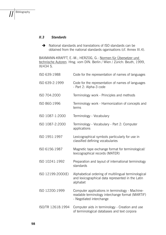### *II.3 Standards*

 $\rightarrow$  National standards and translations of ISO standards can be obtained from the national standards oganisations (cf. Annex III.4).

BAXMANN-KRAFFT, E.-M.; HERZOG, G.: Normen für Übersetzer und technische Autoren. Hrsg. vom DIN. Berlin / Wien / Zürich: Beuth, 1999, IX/434 S.

| ISO 639:1988      | Code for the representation of names of languages                                                                               |
|-------------------|---------------------------------------------------------------------------------------------------------------------------------|
| ISO 639-2:1999    | Code for the representation of names of languages<br>- Part 2: Alpha-3 code                                                     |
| ISO 704:2000      | Terminology work - Principles and methods                                                                                       |
| ISO 860:1996      | Terminology work - Harmonization of concepts and<br>terms                                                                       |
| ISO 1087-1:2000   | Terminology - Vocabulary                                                                                                        |
| ISO 1087-2:2000   | Terminology - Vocabulary - Part 2: Computer<br>applications                                                                     |
| ISO 1951:1997     | Lexicographical symbols particularly for use in<br>classified defining vocabularies                                             |
| ISO 6156:1987     | Magnetic tape exchange format for terminological/<br>lexicographical records (MATER)                                            |
| ISO 10241:1992    | Preparation and layout of international terminology<br>standards                                                                |
| ISO 12199:2000(E) | Alphabetical ordering of multilingual terminological<br>and lexicographical data represented in the Latin<br>alphabet           |
| ISO 12200:1999    | Computer applications in terminology - Machine-<br>readable terminology interchange format (MARTIF)<br>- Negotiated interchange |
| ISO/TR 12618:1994 | Computer aids in terminology - Creation and use<br>of terminological databases and text corpora                                 |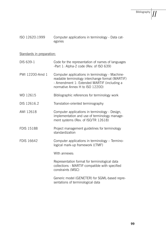| ISO 12620:1999 | Computer applications in terminology - Data cat- |
|----------------|--------------------------------------------------|
|                | egories                                          |

# Standards in preparation:

| DIS 639-1         | Code for the representation of names of languages<br>-Part 1: Alpha-2 code (Rev. of ISO 639)                                                                                          |
|-------------------|---------------------------------------------------------------------------------------------------------------------------------------------------------------------------------------|
| PWI 12200-Amd 1   | Computer applications in terminology - Machine-<br>readable terminology interchange format (MARTIF)<br>- Amendment 1: Extended MARTIF (including a<br>normative Annex H to ISO 12200) |
| WD 12615          | Bibliographic references for terminology work                                                                                                                                         |
| DIS 12616.2       | Translation-oriented terminography                                                                                                                                                    |
| AWI 12618         | Computer applications in terminology - Design,<br>implementation and use of terminology manage-<br>ment systems (Rev. of ISO/TR 12618)                                                |
| <b>FDIS 15188</b> | Project management guidelines for terminology<br>standardization                                                                                                                      |
| FDIS 16642        | Computer applications in terminology - Termino-<br>logical mark-up framework ((TMF)                                                                                                   |
|                   | With annexes:                                                                                                                                                                         |
|                   | Representation format for terminological data<br>collections - MARTIF-compatible with specified<br>constraints (MSC)                                                                  |
|                   | Generic model (GENETER) for SGML-based repre-<br>sentations of terminological data                                                                                                    |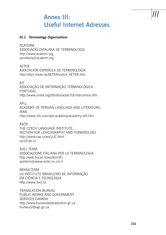# **Annex III: Useful Internet Adresses**

## *III.1 Terminology Organisations*

ACATERM

ASSOCIACIÓ CATALANA DE TERMINOLOGIA http://www.acaterm.org secretaria@acaterm.org

AETER

ASOCIACIÓN ESPAÑOLA DE TERMINOLOGÍA http://efyn.insde.es/AETER/indice\_AETER.htm

AIT

ASSOCIAÇÃO DE INFORMAÇÃO TERMINOLÓGICA PORTUGAL http://www.unilat.org/dtil/etis/actasTDCnet/correia.htm

APLL ACADEMY OF PERSIAN LANGUAGE AND LITERATURE, IRAN http://www.irib.com/ads.academy/academy-left.htm

ASCR

THE CZECH LANGUAGE INSTITUTE, SECTION FOR LEXICOGRAPHY AND TERMINOLOGY http://www.cas.cz/en/UJC.html ujc@cas.cz

ASS.I.TERM. ASSOCIAZIONE ITALIANA PER LA TERMINOLOGIA http://web.tiscali.it/assiterm91 assiterm@www.isrds.rm.cnr.it

BRASILTERM c/o INSTITUTO BRASILEIRO DE INFORMAÇÃO EM CIÊNCIA E TECNOLOGIA http://www.ibict.br

TRANSLATION BUREAU PUBLIC WORKS AND GOVERNMENT SERVICES CANADA http://www.bureaudelatraduction.gc.ca bureau@tpsgc.gc.ca

*III*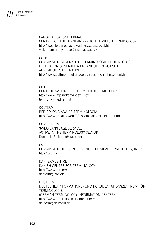CANOLFAN SAFONI TERMAU CENTRE FOR THE STANDARDIZATION OF WELSH TERMINOLOGY http://weblife.bangor.ac.uk/addysg/courses/cst.html welsh-termau-cymraeg@mailbase.ac.uk

#### **CGTN**

COMMISSION GÉNÉRALE DE TERMINOLOGIE ET DE NÉOLOGIE DÉLÉGATION GÉNÉRALE À LA LANGUE FRANÇAISE ET AUX LANGUES DE FRANCE http://www.culture.fr/culture/dglf/dispositif-enrichissement.htm

### CNT

CENTRUL NATIONAL DE TERMINOLOGIE, MOLDOVA http://www.iatp.md/cnt/index1.htm termrom@mednet.md

### COLTERM

RED COLOMBIANA DE TERMINOLOGÍA http://www.unilat.org/dtil/fr/reseauxnational\_colterm.htm

COMPUTERM SWISS LANGUAGE SERVICES ACTIVE IN THE TERMINOLOGY SECTOR Donatella.Pulitano@sta.be.ch

### CSTT

COMMISSION OF SCIENTIFIC AND TECHNICAL TERMINOLOGY, INDIA http://cstt.nic.in

DANTERMCENTRET DANISH CENTRE FOR TERMINOLOGY http://www.danterm.dk danterm@cbs.dk

DEUTERM DEUTSCHES INFORMATIONS- UND DOKUMENTATIONSZENTRUM FÜR TERMINOLOGIE (GERMAN TERMINOLOGY INFORMATION CENTER) http://www.iim.fh-koeln.de/iim/deuterm.html deuterm@fh-koeln.de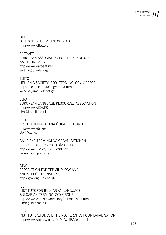*III* Useful Internet Adresses

DTT DEUTSCHER TERMINOLOGIE-TAG http://www.dttev.org

EAFT/AET EUROPEAN ASSOCIATION FOR TERMINOLOGY c/o UNION LATINE http://www.eaft-aet.net eaft\_aet@unilat.org

ELETO HELLENIC SOCIETY FOR TERMINOLOGY, GREECE http//sfr.ee.teiath.gr/Orogramma.htm valeonti@mail.otenet.gr

ELRA EUROPEAN LANGUAGE RESOURCES ASSOCIATION http://www.elDA.FR elra@hsholland.nl

**FTFR** EESTI TERMINOLOOGIA ÜHING, ESTLAND http://www.eter.ee eter@eter.ee

GALICISKA TERMINOLOGIORGANISATIONEN SERVICIO DE TERMINOLOXÍA GALEGA http://www.usc.es/~snlus/snl.htm snlxusto@lugo.usc.es

GTW ASSOCIATION FOR TERMINOLOGY AND KNOWLEDGE TRANSFER http://gtw-org.uibk.ac.at/

IBL INSTITUTE FOR BULGARIAN LANGUAGE BULGARIAN TERMINOLOGY GROUP http://www.cl.bas.bg/directory/humanies/ibl.htm jumb@ibl.acad.bg

IERA INSTITUT D'ETUDES ET DE RECHERCHES POUR L'ARABISATION http://www.emi.ac.ma/univ-MdV/IERA/iera.html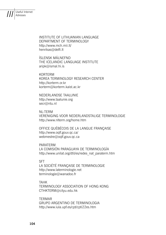

Useful Internet Adresses

> INSTITUTE OF LITHUANIAN LANGUAGE DEPARTMENT OF TERMINOLOGY http://www.mch.mii.lt/ henrikas@delfi.lt

ÍSLENSK MÁLNEFND THE ICELANDIC LANGUAGE INSTITUTE aripk@ismal.hi.is

KORTERM KOREA TERMINOLOGY RESEARCH CENTER http://korterm.or.kr korterm@korterm.kaist.ac.kr

NEDERLANDSE TAALUNIE http://www.taalunie.org secr@ntu.nl

NL-TERM VERENIGING VOOR NEDERLANDSTALIGE TERMINOLOGIE http://www.nlterm.org/home.htm

OFFICE QUÉBÉCOIS DE LA LANGUE FRANÇAISE http://www.oqlf.gouv.qc.ca/ webmestre@oqlf.gouv.qc.ca

PARATERM LA COMISIÓN PARAGUAYA DE TERMINOLOGÍA http://www.unilat.org/dtil/es/redes\_nat\_paraterm.htm

#### SFT

LA SOCIÉTÉ FRANÇAISE DE TERMINOLOGIE http://www.laterminologie.net terminologie@wanadoo.fr

TAHK

TERMINOLOGY ASSOCIATION OF HONG KONG CTHKTERM@cityu.edu.hk

**TFRMAR** 

GRUPO ARGENTINO DE TERMINOLOGIA http://www.iula.upf.es/cpt/cpti22es.htm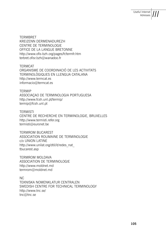**TERMBRET** KREIZENN DERMENADUREZH CENTRE DE TERMINOLOGIE OFFICE DE LA LANGUE BRETONNE http://www.ofis-bzh.org/pages/fr/termfr.htm terbret.ofisr.bzh@wanadoo.fr

TERMCAT ORGANISME DE COORDINACIÓ DE LES ACTIVITATS TERMINOLÒGIQUES EN LLENGUA CATALANA http://www.termcat.es informacio@termcat.es

### **TFRMIP**

ASSOCIAÇAO DE TERMINOLOGIA PORTUGUESA http://www.fcsh.unl.pt/termip/ termip@fcsh.unl.pt

### **TERMISTI**

CENTRE DE RECHERCHE EN TERMINOLOGIE, BRUXELLES http://www.termisti.refer.org termisti@euronet.be

### TERMROM BUCAREST

ASSOCIATION ROUMAINE DE TERMINOLOGIE c/o UNION LATINE http://www.unilat.org/dtil/it/redes\_nat tbucarest.asp

TERMROM MOLDAVA ASSOCIATION DE TERMINOLOGIE http://www.moldnet.md termrom@moldnet.md

 $NC<sub>c</sub>$ TEKNISKA NOMENKLATUR CENTRALEN SWEDISH CENTRE FOR TECHNICAL TERMINOLOGY http://www.tnc.se/ tnc@tnc.se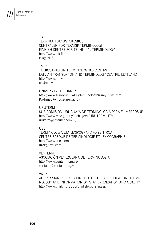Useful Internet Adresses

*III*

TSK TEKNIIKAN SANASTOKESKUS CENTRALEN FÖR TEKNISK TERMINOLOGI FINNISH CENTRE FOR TECHNICAL TERMINOLOGY http://www.tsk.fi tsk@tsk.fi

### T&TC

TUI KOSANAS UN TERMINOLOGIJAS CENTRS LATVIAN TRANSLATION AND TERMINOLOGY CENTRE, LETTLAND http://www.ttc.lv ttc@ttc.lv

UNIVERSITY OF SURREY http://www.surrey.ac.uk/LIS/Terminology/surrey\_sites.htm K.Ahmad@mcs.surrey.ac.uk

#### URUTERM

SUB COMISIÓN URUGUAYA DE TERMINOLOGÍA PARA EL MERCOSUR http://www.mec.gub.uy/arch\_geral/URUTERM.HTM uruterm@internet.com.uy

### UZEI

TERMINOLOGIA ETA LEXIKOGRAFIAKO ZENTROA CENTRE BASQUE DE TERMINOLOGIE ET LEXICOGRAPHIE http://www.uzei.com uzei@uzei.com

#### VENTERM

ASOCIACIÓN VENEZOLANA DE TERMINOLOGÍA http://www.venterm.org.ve/ venterm@venterm.org.ve

### VNIIKI

ALL-RUSSIAN RESEARCH INSTITUTE FOR CLASSIFICATION, TERMI-NOLOGY AND INFORMATION ON STANDARDIZATION AND QUALITY http://www.vniiki.ru:8080/English/gic\_eng.asp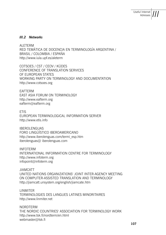### *III.2 Networks*

**ALETERM** RED TEMÁTICA DE DOCENCIA EN TERMINOLOGÍA ARGENTINA / BRASIL / COLOMBIA / ESPAÑA http://www.iula.upf.es/aleterm

COTSOES / CST / CEOV / KÜDES CONFERENCE OF TRANSLATION SERVICES OF EUROPEAN STATES WORKING PARTY ON TERMINOLOGY AND DOCUMENTATION http://www.cotsoes.org

EAFTERM EAST ASIA FORUM ON TERMINOLOGY http://www.eafterm.org eafterm@eafterm.org

**FTIS** EUROPEAN TERMINOLOGICAL INFORMATION SERVER http://www.etis.info

IBEROLENGUAS FORO LINGÜÍSTICO IBEROAMERICANO http://www.iberolenguas.com/termi\_esp.htm iberolenguas@ iberolenguas.com

INFOTERM INTERNATIONAL INFORMATION CENTRE FOR TERMINOLOGY http://www.infoterm.org infopoint@infoterm.org

JIAMCATT UNITED NATIONS ORGANIZATIONS' JOINT INTER-AGENCY MEETING ON COMPUTER-ASSISTED TRANSLATION AND TERMINOLOGY http://jiamcatt.unsystem.org/english/jiamcate.htm

**LINMITER** TERMINOLOGIES DES LANGUES LATINES MINORITAIRES http://www.linmiter.net

NORDTERM THE NORDIC COUNTRIES' ASSOCIATION FOR TERMINOLOGY WORK http://www.tsk.fi/nordterm/en.html webmaster@tsk.fi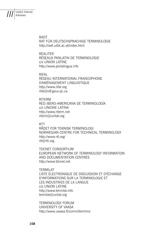

RADT

RAT FÜR DEUTSCHSPRACHIGE TERMINOLOGIE http://radt.uibk.ac.at/index.html

REALITER RÉSEAUX PANLATIN DE TERMINOLOGIE c/o UNION LATINE http://www.portalingua.info

RIFAL RÉSEAU INTERNATIONAL FRANCOPHONE D'AMÉNAGEMENT LINGUISTIQUE http://www.rifal.org rifal@olf.gouv.qc.ca

RITERM RED IBERO-AMERICANA DE TERMINOLOGÍA c/o UNIONE LATINA http://www.riterm.net riterm@unilat.org

**RTT** 

RÅDET FOR TEKNISK TERMINOLOGI NORWEGIAN CENTRE FOR TECHNICAL TERMINOLOGY http://www.rtt.org/ rtt@rtt.org.

TDCNET CONSORTIUM EUROPEAN NETWORK OF TERMINOLOGY INFORMATION AND DOCUMENTATION CENTRES http://www.tdcnet.net

TERMILAT LISTE ÉLECTRONIQUE DE DISCUSSION ET D'ÉCHANGE D'INFORMATIONS SUR LA TERMINOLOGIE ET LES INDUSTRIES DE LA LANGUE c/o UNION LATINE http://www.termilat.info termilat@unilat.org

TERMINOLOGY FORUM UNIVERSITY OF VAASA http://www.uwasa.fi/comm/termino/

**108 109**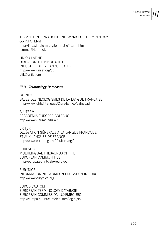TERMNET INTERNATIONAL NETWORK FOR TERMINOLOGY c/o INFOTERM http://linux.infoterm.org/termnet-e/i-term.htm termnet@termnet.at

UNION LATINE DIRECTION TERMINOLOGIE ET INDUSTRIE DE LA LANGUE (DTIL) http://www.unilat.org/dtil dtil@unilat.org

## *III.3 Terminology Databases*

BALNÉO BASES DES NÉOLOGISMES DE LA LANGUE FRANÇAISE http://www.uhb.fr/langues/Craie/balneo/balneo.pl

**BLUTERM** ACCADEMIA EUROPEA BOLZANO http://www2.eurac.edu:4711

**CRITER** DÉLÉGATION GÉNÉRALE À LA LANGUE FRANÇAISE ET AUX LANGUES DE FRANCE http://www.culture.gouv.fr/culture/dglf

EUROVOC MULTILINGUAL THESAURUS OF THE EUROPEAN COMMUHITIES http://europa.eu.int/celex/eurovoc

EURYDICE INFORMATION NETWORK ON EDUCATION IN EUROPE http://www.eurydice.org

EURODICAUTOM EUROPEAN TERMINOLOGY DATABASE EUROPEAN COMMISSION LUXEMBOURG http://europa.eu.int/eurodicautom/login.jsp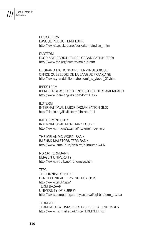

Useful Internet Adresses

> EUSKALTERM BASQUE PUBLIC TERM BANK http://www1.euskadi.net/euskalterm/indice\_i.htm

FAOTERM

FOOD AND AGRICULTURAL ORGANISATION (FAO) http://www.fao.org/faoterm/main-e.htm

LE GRAND DICTIONNAIRE TERMINOLOGIQUE OFFICE QUÉBÉCOIS DE LA LANGUE FRANÇAISE http://www.granddictionnaire.com/\_fs\_global\_01.htm

IBEROTERM IBEROLENGUAS. FORO LINGÜÍSTICO IBEROAMERICANO http://www.iberolenguas.com/form1.asp

ILOTERM INTERNATIONAL LABOR ORGANISATION (ILO) http://ilis.ilo.org/ilis/ilisterm/ilintrte.html

IMF TERMINOLOGY INTERNATIONAL MONETARY FOUND http://www.imf.org/external/np/term/index.asp

THE ICELANDIC WORD BANK ÍSLENSK MÁLSTÖÐS TERMBANK http://www.ismal.hi.is/ob/birta/?vinnumal=EN

NORSK TERMBANK BERGEN UNIVERSITY http://www.hit.uib.no/nt/homepg.htm

TEPA THE FINNISH CENTRE FOR TECHNICAL TERMINOLOGY (TSK) http://www.tsk.fi/tepa/ TERM BAZAAR UNIVERSITY OF SURREY http://www.computing.surrey.ac.uk/ai/cgi-bin/term\_bazaar

TERMCELT TERMINOLOGY DATABASES FOR CELTIC LANGUAGES http://www.jiscmail.ac.uk/lists/TERMCELT.html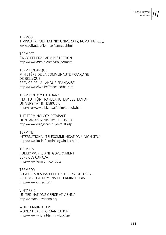**TERMCOL** TIMISOARA POLYTECHNIC UNIVERSITY, ROMANIA http:// www.ceft.utt.ro/Termcol/termcol.html

TERMDAT SWISS FEDERAL ADMINISTRATION http://www.admin.ch/ch/i/bk/termdat

TERMINOBANQUE MINISTÈRE DE LA COMMUNAUTÉ FRANÇAISE DE BELGIQUE SERVICE DE LA LANGUE FRANÇAISE http://www.cfwb.be/franca/bd/bd.htm

TERMINOLOGY DATABANK INSTITUT FÜR TRANSLATIONSWISSENSCHAFT UNIVERSITÄT INNSBRUCK http://starwww.uibk.ac.at/dolm/termdb.html

THE TERMINOLOGY DATABASE HUNGARIAN MINISTRY OF JUSTICE http://www.eujogszab.hu/default.asp

**TFRMITF** INTERNATIONAL TELECOMMUNICATION UNION (ITU) http://www.itu.int/terminology/index.html

TERMIUM PUBLIC WORKS AND GOVERNMENT SERVICES CANADA http://www.termium.com/site

TERMROM CONSULTAREA BAZEI DE DATE TERMINOLOGICE ASSOCAZIONE ROMENA DI TERMINOLOGIA http://www.cimec.ro/tr

VINTARS-2 UNITED NATIONS OFFICE AT VIENNA http://vintars.unvienna.org

WHO TERMINOLOGY WORLD HEALTH ORGANIZATION http://www.who.int/terminology/ter/